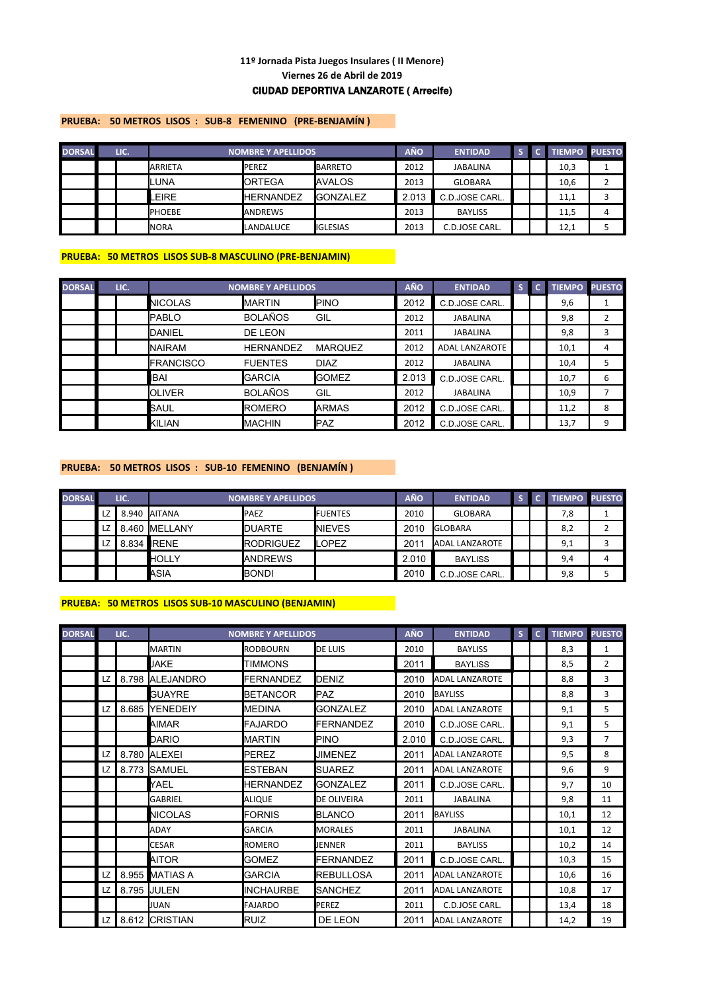# **Viernes 26 de Abril de 2019** CIUDAD DEPORTIVA LANZAROTE ( Arrecife) **11º Jornada Pista Juegos Insulares ( II Menore)**

# **PRUEBA: 50 METROS LISOS : SUB-8 FEMENINO (PRE-BENJAMÍN )**

| <b>DORSAL</b> | LIC. |                | <b>NOMBRE Y APELLIDOS</b> |                   | <b>AÑO</b> | <b>ENTIDAD</b>  |  | <b>TIEMPO PUESTO</b> |  |
|---------------|------|----------------|---------------------------|-------------------|------------|-----------------|--|----------------------|--|
|               |      | <b>ARRIETA</b> | <b>PEREZ</b>              | <b>BARRETO</b>    | 2012       | <b>JABALINA</b> |  | 10,3                 |  |
|               |      | Iluna          | ORTEGA                    | <b>IAVALOS</b>    | 2013       | <b>GLOBARA</b>  |  | 10,6                 |  |
|               |      | EIRE.          | <b>HERNANDEZ</b>          | <b>IGONZALEZ</b>  | 2.013      | C.D.JOSE CARL.  |  | 11,1                 |  |
|               |      | <b>PHOEBE</b>  | <b>ANDREWS</b>            |                   | 2013       | <b>BAYLISS</b>  |  | 11,5                 |  |
|               |      | <b>NORA</b>    | LANDALUCE                 | <b>I</b> IGLESIAS | 2013       | C.D.JOSE CARL.  |  | 12,1                 |  |

# **PRUEBA: 50 METROS LISOS SUB-8 MASCULINO (PRE-BENJAMIN)**

| <b>DORSAL</b> | LIC. |                    | <b>NOMBRE Y APELLIDOS</b> |                | <b>AÑO</b> | <b>ENTIDAD</b>        | S | c. | <b>TIEMPO</b> | <b>PUESTO</b>  |
|---------------|------|--------------------|---------------------------|----------------|------------|-----------------------|---|----|---------------|----------------|
|               |      | <b>NICOLAS</b>     | <b>MARTIN</b>             | <b>I</b> PINO  | 2012       | C.D.JOSE CARL.        |   |    | 9,6           |                |
|               |      | <b>I</b> PABLO     | <b>BOLAÑOS</b>            | GIL            | 2012       | <b>JABALINA</b>       |   |    | 9,8           | $\overline{2}$ |
|               |      | DANIEL             | DE LEON                   |                | 2011       | <b>JABALINA</b>       |   |    | 9,8           | 3              |
|               |      | <b>NAIRAM</b>      | <b>HERNANDEZ</b>          | <b>MARQUEZ</b> | 2012       | <b>ADAL LANZAROTE</b> |   |    | 10,1          | 4              |
|               |      | <b>I</b> FRANCISCO | <b>FUENTES</b>            | <b>DIAZ</b>    | 2012       | <b>JABALINA</b>       |   |    | 10,4          | 5              |
|               |      | <b>IBAI</b>        | <b>GARCIA</b>             | <b>I</b> GOMEZ | 2.013      | C.D.JOSE CARL.        |   |    | 10,7          | 6              |
|               |      | <b>OLIVER</b>      | <b>BOLAÑOS</b>            | GIL            | 2012       | <b>JABALINA</b>       |   |    | 10,9          |                |
|               |      | SAUL               | <b>ROMERO</b>             | <b>ARMAS</b>   | 2012       | C.D.JOSE CARL.        |   |    | 11,2          | 8              |
|               |      | <b>KILIAN</b>      | <b>MACHIN</b>             | <b>IPAZ</b>    | 2012       | C.D.JOSE CARL.        |   |    | 13,7          | 9              |

# **PRUEBA: 50 METROS LISOS : SUB-10 FEMENINO (BENJAMÍN )**

| <b>DORSAL</b> |    | LIC. |                       | <b>NOMBRE Y APELLIDOS</b> |                  | <b>AÑO</b>    | <b>ENTIDAD</b>        |  | <b>TIEMPO PUESTO</b> |  |
|---------------|----|------|-----------------------|---------------------------|------------------|---------------|-----------------------|--|----------------------|--|
|               | LZ |      | 8.940 AITANA          | <b>PAEZ</b>               | <b>I</b> FUENTES | 2010          | <b>GLOBARA</b>        |  | 7,8                  |  |
|               | LZ |      | .460 <b>I</b> MELLANY | <b>DUARTE</b>             | <b>INIEVES</b>   | 2010          | <b>GLOBARA</b>        |  | 8,2                  |  |
|               | LZ |      | 8.834 <b>IRENE</b>    | <b>I</b> RODRIGUEZ        | <b>LOPEZ</b>     | $201^{\circ}$ | <b>ADAL LANZAROTE</b> |  | 9,1                  |  |
|               |    |      | <b>HOLLY</b>          | <b>IANDREWS</b>           |                  | 2.010         | <b>BAYLISS</b>        |  | 9,4                  |  |
|               |    |      | ASIA                  | <b>BONDI</b>              |                  | 2010          | C.D.JOSE CARL.        |  | 9,8                  |  |

# **PRUEBA: 50 METROS LISOS SUB-10 MASCULINO (BENJAMIN)**

| <b>DORSAL</b> |    | LIC.  |                  | <b>NOMBRE Y APELLIDOS</b> |                    | <b>AÑO</b> | <b>ENTIDAD</b>        | S | $\mathbf{C}$ | <b>TIEMPO</b> | <b>PUESTO</b>  |
|---------------|----|-------|------------------|---------------------------|--------------------|------------|-----------------------|---|--------------|---------------|----------------|
|               |    |       | <b>MARTIN</b>    | <b>RODBOURN</b>           | <b>DE LUIS</b>     | 2010       | <b>BAYLISS</b>        |   |              | 8,3           | 1              |
|               |    |       | <b>JAKE</b>      | TIMMONS                   |                    | 2011       | <b>BAYLISS</b>        |   |              | 8,5           | $\overline{2}$ |
|               | LZ | 8.798 | <b>ALEJANDRO</b> | <b>FERNANDEZ</b>          | DENIZ              | 2010       | <b>ADAL LANZAROTE</b> |   |              | 8,8           | 3              |
|               |    |       | <b>GUAYRE</b>    | <b>BETANCOR</b>           | <b>PAZ</b>         | 2010       | <b>BAYLISS</b>        |   |              | 8,8           | 3              |
|               | LZ |       | 8.685 YENEDEIY   | <b>I</b> MEDINA           | <b>GONZALEZ</b>    | 2010       | <b>ADAL LANZAROTE</b> |   |              | 9,1           | 5              |
|               |    |       | AIMAR            | <b>FAJARDO</b>            | <b>FERNANDEZ</b>   | 2010       | C.D.JOSE CARL.        |   |              | 9,1           | 5              |
|               |    |       | <b>DARIO</b>     | <b>MARTIN</b>             | PINO               | 2.010      | C.D.JOSE CARL.        |   |              | 9,3           | $\overline{7}$ |
|               | LZ | 8.780 | <b>ALEXEI</b>    | <b>PEREZ</b>              | <b>JIMENEZ</b>     | 2011       | ADAL LANZAROTE        |   |              | 9,5           | 8              |
|               | LZ | 8.773 | <b>SAMUEL</b>    | <b>ESTEBAN</b>            | <b>SUAREZ</b>      | 2011       | ADAL LANZAROTE        |   |              | 9,6           | 9              |
|               |    |       | YAEL             | <b>HERNANDEZ</b>          | <b>GONZALEZ</b>    | 2011       | C.D.JOSE CARL.        |   |              | 9,7           | 10             |
|               |    |       | <b>GABRIEL</b>   | <b>ALIQUE</b>             | <b>DE OLIVEIRA</b> | 2011       | <b>JABALINA</b>       |   |              | 9,8           | 11             |
|               |    |       | <b>NICOLAS</b>   | <b>FORNIS</b>             | <b>BLANCO</b>      | 2011       | <b>BAYLISS</b>        |   |              | 10,1          | 12             |
|               |    |       | <b>ADAY</b>      | <b>GARCIA</b>             | <b>MORALES</b>     | 2011       | <b>JABALINA</b>       |   |              | 10,1          | 12             |
|               |    |       | <b>CESAR</b>     | <b>ROMERO</b>             | JENNER             | 2011       | <b>BAYLISS</b>        |   |              | 10,2          | 14             |
|               |    |       | <b>AITOR</b>     | <b>GOMEZ</b>              | <b>FERNANDEZ</b>   | 2011       | C.D.JOSE CARL.        |   |              | 10,3          | 15             |
|               | LZ |       | 8.955 MATIAS A   | <b>GARCIA</b>             | <b>REBULLOSA</b>   | 2011       | <b>ADAL LANZAROTE</b> |   |              | 10,6          | 16             |
|               | LZ |       | 8.795 JULEN      | <b>INCHAURBE</b>          | <b>SANCHEZ</b>     | 2011       | <b>ADAL LANZAROTE</b> |   |              | 10,8          | 17             |
|               |    |       | <b>JUAN</b>      | <b>FAJARDO</b>            | PEREZ              | 2011       | C.D.JOSE CARL.        |   |              | 13,4          | 18             |
|               | LZ |       | 8.612 CRISTIAN   | <b>RUIZ</b>               | DE LEON            | 2011       | <b>ADAL LANZAROTE</b> |   |              | 14,2          | 19             |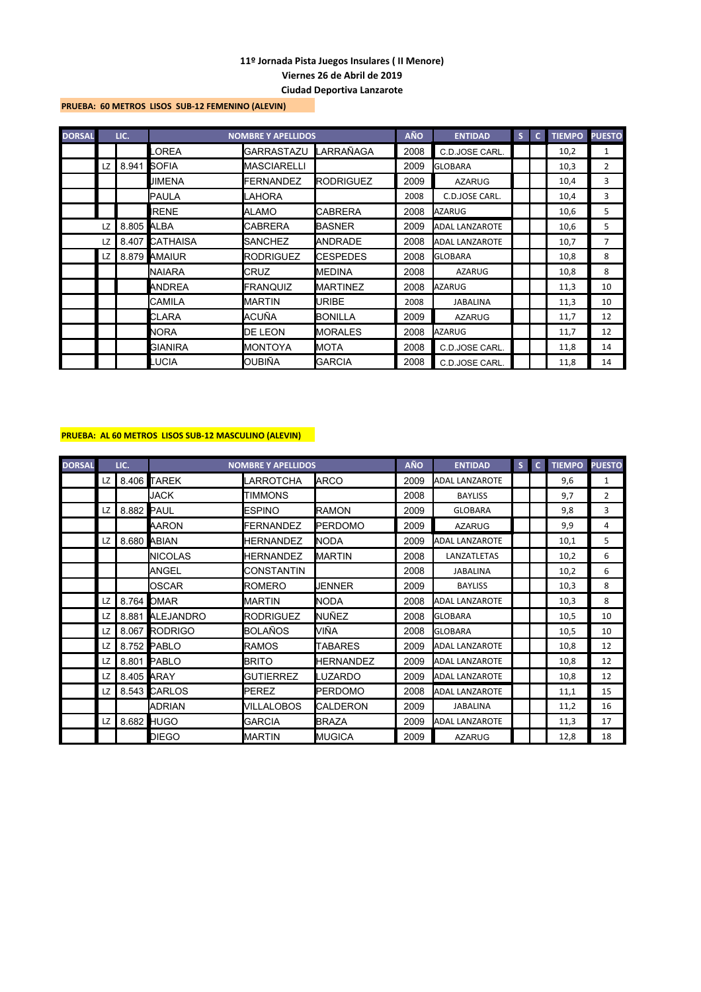### **PRUEBA: 60 METROS LISOS SUB-12 FEMENINO (ALEVIN)**

| <b>DORSAL</b> |    | LIC.       |                | <b>NOMBRE Y APELLIDOS</b> |                    | <b>AÑO</b> | <b>ENTIDAD</b>        | S | $\mathbf{C}$ | <b>TIEMPO</b> | <b>PUESTO</b>  |
|---------------|----|------------|----------------|---------------------------|--------------------|------------|-----------------------|---|--------------|---------------|----------------|
|               |    |            | OREA           | <b>GARRASTAZU</b>         | <b>I</b> LARRAÑAGA | 2008       | C.D.JOSE CARL.        |   |              | 10,2          | 1              |
|               | LZ | 8.941      | <b>SOFIA</b>   | <b>MASCIARELLI</b>        |                    | 2009       | <b>GLOBARA</b>        |   |              | 10,3          | $\overline{2}$ |
|               |    |            | JIMENA         | FERNANDEZ                 | <b>IRODRIGUEZ</b>  | 2009       | <b>AZARUG</b>         |   |              | 10,4          | 3              |
|               |    |            | <b>PAULA</b>   | LAHORA                    |                    | 2008       | C.D.JOSE CARL.        |   |              | 10,4          | 3              |
|               |    |            | <b>IRENE</b>   | <b>ALAMO</b>              | <b>CABRERA</b>     | 2008       | <b>AZARUG</b>         |   |              | 10,6          | 5              |
|               | LZ | 8.805 ALBA |                | <b>CABRERA</b>            | <b>BASNER</b>      | 2009       | <b>ADAL LANZAROTE</b> |   |              | 10,6          | 5              |
|               | LZ |            | 8.407 CATHAISA | <b>SANCHEZ</b>            | <b>ANDRADE</b>     | 2008       | <b>ADAL LANZAROTE</b> |   |              | 10,7          | 7              |
|               | LZ |            | 8.879 AMAIUR   | <b>RODRIGUEZ</b>          | <b>ICESPEDES</b>   | 2008       | <b>GLOBARA</b>        |   |              | 10,8          | 8              |
|               |    |            | <b>NAIARA</b>  | CRUZ                      | <b>IMEDINA</b>     | 2008       | <b>AZARUG</b>         |   |              | 10,8          | 8              |
|               |    |            | ANDREA         | <b>FRANQUIZ</b>           | <b>I</b> MARTINEZ  | 2008       | <b>AZARUG</b>         |   |              | 11,3          | 10             |
|               |    |            | <b>CAMILA</b>  | <b>MARTIN</b>             | URIBE              | 2008       | <b>JABALINA</b>       |   |              | 11,3          | 10             |
|               |    |            | CLARA          | ACUÑA                     | IBONILLA           | 2009       | <b>AZARUG</b>         |   |              | 11,7          | 12             |
|               |    |            | <b>NORA</b>    | DE LEON                   | <b>MORALES</b>     | 2008       | <b>AZARUG</b>         |   |              | 11,7          | 12             |
|               |    |            | <b>GIANIRA</b> | <b>MONTOYA</b>            | <b>MOTA</b>        | 2008       | C.D.JOSE CARL.        |   |              | 11,8          | 14             |
|               |    |            | <b>LUCIA</b>   | OUBIÑA                    | <b>GARCIA</b>      | 2008       | C.D.JOSE CARL.        |   |              | 11,8          | 14             |

# **PRUEBA: AL 60 METROS LISOS SUB-12 MASCULINO (ALEVIN)**

| <b>DORSAL</b> |     | LIC.       |                 | <b>NOMBRE Y APELLIDOS</b> |                  | <b>AÑO</b> | <b>ENTIDAD</b>        | S | $\mathbf{C}$ | <b>TIEMPO</b> | <b>PUESTO</b> |
|---------------|-----|------------|-----------------|---------------------------|------------------|------------|-----------------------|---|--------------|---------------|---------------|
|               | LZ. |            | 8.406 TAREK     | LARROTCHA                 | <b>ARCO</b>      | 2009       | <b>ADAL LANZAROTE</b> |   |              | 9,6           | 1             |
|               |     |            | <b>JACK</b>     | <b>TIMMONS</b>            |                  | 2008       | <b>BAYLISS</b>        |   |              | 9,7           | 2             |
|               | LZ  | 8.882 PAUL |                 | <b>ESPINO</b>             | <b>RAMON</b>     | 2009       | <b>GLOBARA</b>        |   |              | 9,8           | 3             |
|               |     |            | <b>AARON</b>    | <b>FERNANDEZ</b>          | <b>IPERDOMO</b>  | 2009       | <b>AZARUG</b>         |   |              | 9,9           | 4             |
|               | LZ. |            | 8.680 ABIAN     | <b>HERNANDEZ</b>          | <b>I</b> NODA    | 2009       | <b>ADAL LANZAROTE</b> |   |              | 10,1          | 5             |
|               |     |            | <b>NICOLAS</b>  | <b>HERNANDEZ</b>          | <b>I</b> MARTIN  | 2008       | LANZATLETAS           |   |              | 10,2          | 6             |
|               |     |            | <b>ANGEL</b>    | <b>CONSTANTIN</b>         |                  | 2008       | <b>JABALINA</b>       |   |              | 10,2          | 6             |
|               |     |            | <b>OSCAR</b>    | <b>ROMERO</b>             | JENNER           | 2009       | <b>BAYLISS</b>        |   |              | 10,3          | 8             |
|               | LZ  | 8.764      | <b>OMAR</b>     | <b>MARTIN</b>             | <b>NODA</b>      | 2008       | <b>ADAL LANZAROTE</b> |   |              | 10,3          | 8             |
|               | LZ  |            | 8.881 ALEJANDRO | <b>RODRIGUEZ</b>          | <b>I</b> NUÑEZ   | 2008       | <b>GLOBARA</b>        |   |              | 10,5          | 10            |
|               | LZ  |            | 8.067 RODRIGO   | <b>BOLAÑOS</b>            | VIÑA             | 2008       | <b>GLOBARA</b>        |   |              | 10,5          | 10            |
|               | LZ  |            | 8.752 PABLO     | <b>RAMOS</b>              | TABARES          | 2009       | <b>ADAL LANZAROTE</b> |   |              | 10,8          | 12            |
|               | LZ  |            | 8.801 PABLO     | <b>BRITO</b>              | <b>HERNANDEZ</b> | 2009       | <b>ADAL LANZAROTE</b> |   |              | 10,8          | 12            |
|               | LZ  | 8.405 ARAY |                 | <b>GUTIERREZ</b>          | LUZARDO          | 2009       | <b>ADAL LANZAROTE</b> |   |              | 10,8          | 12            |
|               | LZ  |            | 8.543 CARLOS    | <b>PEREZ</b>              | <b>PERDOMO</b>   | 2008       | <b>ADAL LANZAROTE</b> |   |              | 11,1          | 15            |
|               |     |            | <b>ADRIAN</b>   | VILLALOBOS                | <b>CALDERON</b>  | 2009       | <b>JABALINA</b>       |   |              | 11,2          | 16            |
|               | LZ  |            | 8.682 HUGO      | <b>GARCIA</b>             | <b>BRAZA</b>     | 2009       | <b>ADAL LANZAROTE</b> |   |              | 11,3          | 17            |
|               |     |            | <b>DIEGO</b>    | <b>MARTIN</b>             | IMUGICA          | 2009       | <b>AZARUG</b>         |   |              | 12,8          | 18            |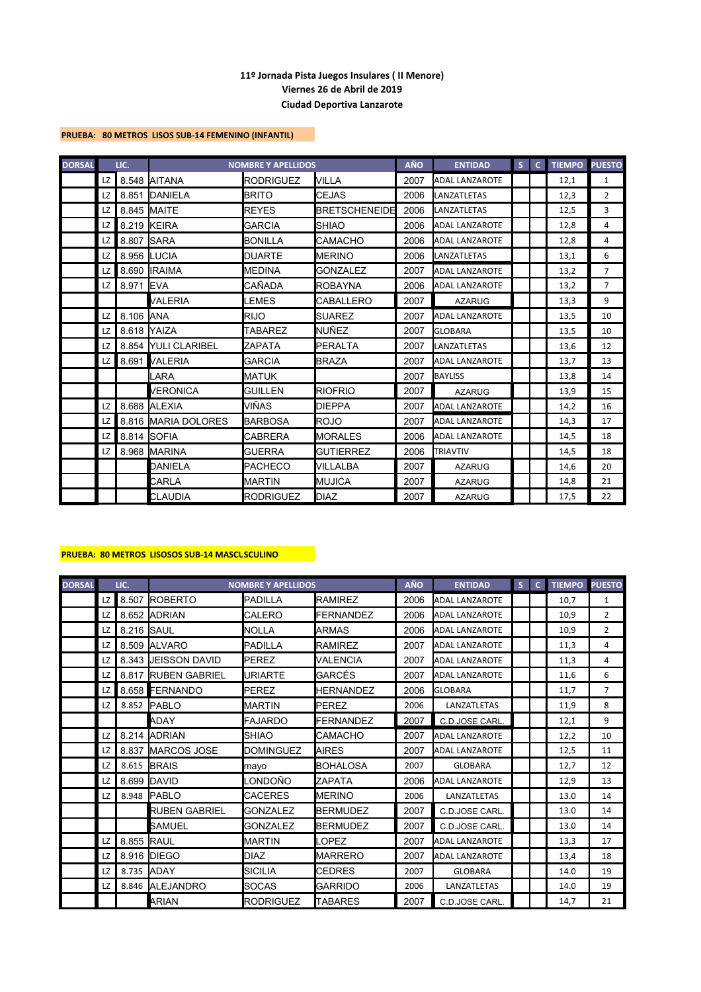### **PRUEBA: 80 METROS LISOS SUB-14 FEMENINO (INFANTIL)**

| <b>DORSAL</b> |    | LIC.  |                      | <b>NOMBRE Y APELLIDOS</b> |                      | <b>AÑO</b> | <b>ENTIDAD</b>        | $\mathsf{S}$ | $\mathbf{C}$ | <b>TIEMPO</b> | <b>PUESTO</b>  |
|---------------|----|-------|----------------------|---------------------------|----------------------|------------|-----------------------|--------------|--------------|---------------|----------------|
|               | LZ |       | 8.548 AITANA         | <b>RODRIGUEZ</b>          | <b>VILLA</b>         | 2007       | <b>ADAL LANZAROTE</b> |              |              | 12,1          | $\mathbf{1}$   |
|               | LZ | 8.851 | <b>DANIELA</b>       | <b>BRITO</b>              | <b>CEJAS</b>         | 2006       | <b>LANZATLETAS</b>    |              |              | 12,3          | $\overline{2}$ |
|               | LZ | 8.845 | <b>MAITE</b>         | <b>REYES</b>              | <b>BRETSCHENEIDE</b> | 2006       | LANZATLETAS           |              |              | 12,5          | 3              |
|               | LZ |       | 8.219 KEIRA          | <b>GARCIA</b>             | <b>SHIAO</b>         | 2006       | <b>ADAL LANZAROTE</b> |              |              | 12,8          | 4              |
|               | LZ | 8.807 | <b>SARA</b>          | <b>BONILLA</b>            | CAMACHO              | 2006       | <b>ADAL LANZAROTE</b> |              |              | 12,8          | 4              |
|               | LZ |       | 8.956 <b>I</b> LUCIA | <b>DUARTE</b>             | <b>IMERINO</b>       | 2006       | <b>LANZATLETAS</b>    |              |              | 13,1          | 6              |
|               | LZ | 8.690 | <b>IRAIMA</b>        | <b>MEDINA</b>             | <b>GONZALEZ</b>      | 2007       | <b>ADAL LANZAROTE</b> |              |              | 13,2          | $\overline{7}$ |
|               | LZ | 8.971 | <b>IEVA</b>          | CAÑADA                    | <b>ROBAYNA</b>       | 2006       | <b>ADAL LANZAROTE</b> |              |              | 13,2          | $\overline{7}$ |
|               |    |       | VALERIA              | LEMES                     | <b>CABALLERO</b>     | 2007       | <b>AZARUG</b>         |              |              | 13,3          | 9              |
|               | LZ | 8.106 | <b>ANA</b>           | <b>RIJO</b>               | <b>SUAREZ</b>        | 2007       | <b>ADAL LANZAROTE</b> |              |              | 13,5          | 10             |
|               | LZ | 8.618 | <b>IYAIZA</b>        | <b>TABAREZ</b>            | <b>I</b> NUÑEZ       | 2007       | <b>GLOBARA</b>        |              |              | 13,5          | 10             |
|               | LZ | 8.854 | <b>YULI CLARIBEL</b> | ZAPATA                    | PERALTA              | 2007       | <b>LANZATLETAS</b>    |              |              | 13,6          | 12             |
|               | LZ | 8.691 | <b>VALERIA</b>       | <b>GARCIA</b>             | <b>BRAZA</b>         | 2007       | <b>ADAL LANZAROTE</b> |              |              | 13,7          | 13             |
|               |    |       | LARA                 | <b>MATUK</b>              |                      | 2007       | <b>BAYLISS</b>        |              |              | 13,8          | 14             |
|               |    |       | VERONICA             | <b>GUILLEN</b>            | <b>RIOFRIO</b>       | 2007       | <b>AZARUG</b>         |              |              | 13,9          | 15             |
|               | LZ | 8.688 | <b>ALEXIA</b>        | VIÑAS                     | <b>DIEPPA</b>        | 2007       | <b>ADAL LANZAROTE</b> |              |              | 14,2          | 16             |
|               | LZ |       | 8.816 MARIA DOLORES  | <b>BARBOSA</b>            | <b>ROJO</b>          | 2007       | <b>ADAL LANZAROTE</b> |              |              | 14,3          | 17             |
|               | LZ |       | 8.814 SOFIA          | CABRERA                   | <b>MORALES</b>       | 2006       | <b>ADAL LANZAROTE</b> |              |              | 14,5          | 18             |
|               | LZ | 8.968 | <b>MARINA</b>        | <b>GUERRA</b>             | <b>GUTIERREZ</b>     | 2006       | <b>TRIAVTIV</b>       |              |              | 14,5          | 18             |
|               |    |       | DANIELA              | <b>PACHECO</b>            | VILLALBA             | 2007       | <b>AZARUG</b>         |              |              | 14.6          | 20             |
|               |    |       | CARLA                | <b>MARTIN</b>             | <b>MUJICA</b>        | 2007       | <b>AZARUG</b>         |              |              | 14,8          | 21             |
|               |    |       | <b>CLAUDIA</b>       | <b>RODRIGUEZ</b>          | DIAZ                 | 2007       | <b>AZARUG</b>         |              |              | 17,5          | 22             |

# **PRUEBA: 80 METROS LISOSOS SUB-14 MASCL SCULINO**

| <b>DORSAL</b> |     | LIC.              |                      | <b>NOMBRE Y APELLIDOS</b> |                  | <b>AÑO</b> | <b>ENTIDAD</b>        | S | $\mathsf{C}$ | <b>TIEMPO</b> | <b>PUESTO</b>  |
|---------------|-----|-------------------|----------------------|---------------------------|------------------|------------|-----------------------|---|--------------|---------------|----------------|
|               | LZ  | 8.507             | <b>ROBERTO</b>       | <b>PADILLA</b>            | <b>RAMIREZ</b>   | 2006       | <b>ADAL LANZAROTE</b> |   |              | 10,7          | $\mathbf{1}$   |
|               | LZ  | 8.652             | <b>ADRIAN</b>        | <b>CALERO</b>             | FERNANDEZ        | 2006       | <b>ADAL LANZAROTE</b> |   |              | 10,9          | 2              |
|               | LZ. | 8.216 <b>SAUL</b> |                      | <b>NOLLA</b>              | <b>ARMAS</b>     | 2006       | <b>ADAL LANZAROTE</b> |   |              | 10,9          | $\overline{2}$ |
|               | LZ  | 8.509             | <b>ALVARO</b>        | <b>PADILLA</b>            | <b>RAMIREZ</b>   | 2007       | <b>ADAL LANZAROTE</b> |   |              | 11,3          | 4              |
|               | LZ  | 8.343             | <b>JEISSON DAVID</b> | <b>PEREZ</b>              | <b>VALENCIA</b>  | 2007       | <b>ADAL LANZAROTE</b> |   |              | 11,3          | 4              |
|               | LZ. | 8.817             | <b>RUBEN GABRIEL</b> | <b>URIARTE</b>            | <b>GARCÉS</b>    | 2007       | <b>ADAL LANZAROTE</b> |   |              | 11,6          | 6              |
|               | LZ  |                   | 8.658 FERNANDO       | <b>PEREZ</b>              | <b>HERNANDEZ</b> | 2006       | <b>GLOBARA</b>        |   |              | 11,7          | $\overline{7}$ |
|               | LZ  |                   | 8.852 PABLO          | <b>MARTIN</b>             | <b>PEREZ</b>     | 2006       | LANZATLETAS           |   |              | 11,9          | 8              |
|               |     |                   | ADAY                 | <b>FAJARDO</b>            | FERNANDEZ        | 2007       | C.D.JOSE CARL         |   |              | 12,1          | 9              |
|               | LZ. |                   | 8.214 ADRIAN         | <b>SHIAO</b>              | <b>CAMACHO</b>   | 2007       | <b>ADAL LANZAROTE</b> |   |              | 12,2          | 10             |
|               | LZ. | 8.837             | <b>IMARCOS JOSE</b>  | <b>DOMINGUEZ</b>          | <b>AIRES</b>     | 2007       | <b>ADAL LANZAROTE</b> |   |              | 12,5          | 11             |
|               | LZ  | 8.615             | <b>BRAIS</b>         | mayo                      | <b>BOHALOSA</b>  | 2007       | <b>GLOBARA</b>        |   |              | 12,7          | 12             |
|               | LZ  | 8.699             | <b>IDAVID</b>        | _ONDOÑO                   | ZAPATA           | 2006       | <b>ADAL LANZAROTE</b> |   |              | 12,9          | 13             |
|               | LZ  | 8.948             | <b>PABLO</b>         | <b>CACERES</b>            | <b>MERINO</b>    | 2006       | LANZATLETAS           |   |              | 13.0          | 14             |
|               |     |                   | <b>RUBEN GABRIEL</b> | <b>GONZALEZ</b>           | <b>BERMUDEZ</b>  | 2007       | C.D.JOSE CARL.        |   |              | 13.0          | 14             |
|               |     |                   | <b>SAMUEL</b>        | <b>GONZALEZ</b>           | <b>BERMUDEZ</b>  | 2007       | C.D.JOSE CARL.        |   |              | 13.0          | 14             |
|               | LZ  | 8.855             | <b>RAUL</b>          | <b>MARTIN</b>             | LOPEZ            | 2007       | <b>ADAL LANZAROTE</b> |   |              | 13,3          | 17             |
|               | LZ  | 8.916             | <b>DIEGO</b>         | <b>DIAZ</b>               | <b>MARRERO</b>   | 2007       | <b>ADAL LANZAROTE</b> |   |              | 13,4          | 18             |
|               | LZ  | 8.735             | <b>ADAY</b>          | <b>SICILIA</b>            | <b>CEDRES</b>    | 2007       | <b>GLOBARA</b>        |   |              | 14.0          | 19             |
|               | LZ  | 8.846             | <b>ALEJANDRO</b>     | <b>SOCAS</b>              | <b>GARRIDO</b>   | 2006       | LANZATLETAS           |   |              | 14.0          | 19             |
|               |     |                   | <b>ARIAN</b>         | <b>RODRIGUEZ</b>          | <b>TABARES</b>   | 2007       | C.D.JOSE CARL         |   |              | 14,7          | 21             |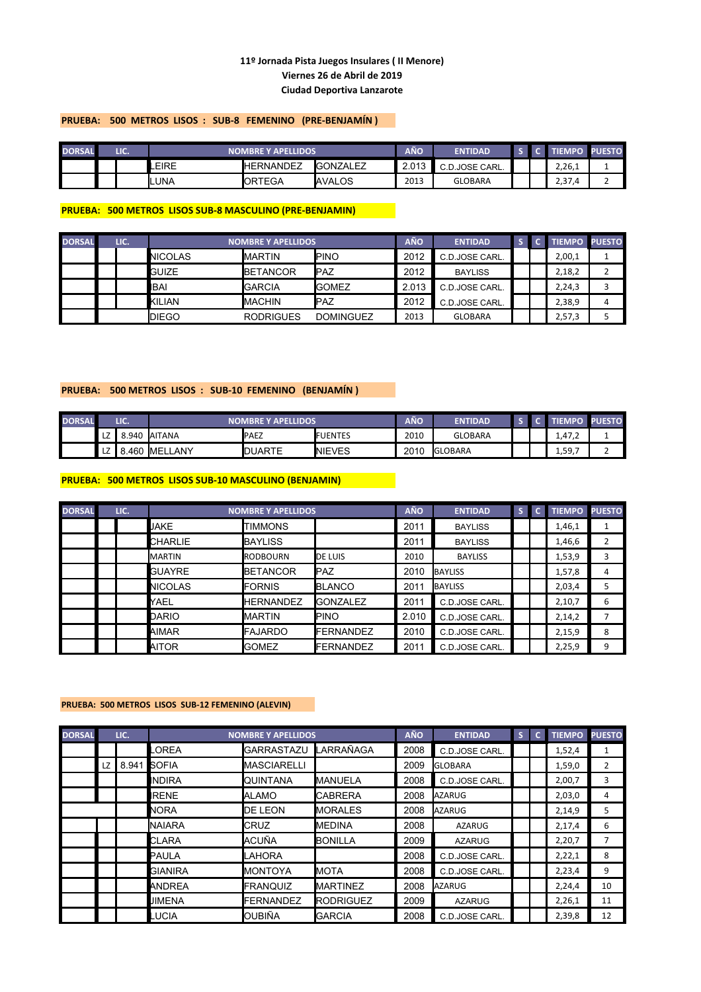# **PRUEBA: 500 METROS LISOS : SUB-8 FEMENINO (PRE-BENJAMÍN )**

| <b>DORSAL</b> | LIC. |       | <b>NOMBRE Y APELLIDOS</b>              |                |                | AÑQ  | <b>ENTIDAD</b> |  |                  | PUESTO |
|---------------|------|-------|----------------------------------------|----------------|----------------|------|----------------|--|------------------|--------|
|               |      | LEIRE | <b>I</b> GONZALEZ<br><b>IHERNANDEZ</b> |                |                |      | C.D.JOSE CARL. |  | 2,26,1           |        |
|               |      | Iluna |                                        | <b>IORTEGA</b> | <b>IAVALOS</b> | 2013 | <b>GLOBARA</b> |  | ר ר<br>.4<br>د,∠ |        |

### **PRUEBA: 500 METROS LISOS SUB-8 MASCULINO (PRE-BENJAMIN)**

| <b>DORSAL</b> | LIC. |                | <b>NOMBRE Y APELLIDOS</b> |                  | <b>AÑO</b> | <b>ENTIDAD</b> |  | <b>TIEMPO PUESTO</b> |   |
|---------------|------|----------------|---------------------------|------------------|------------|----------------|--|----------------------|---|
|               |      | <b>NICOLAS</b> | <b>IMARTIN</b>            | <b>PINO</b>      | 2012       | C.D.JOSE CARL. |  | 2,00,1               |   |
|               |      | <b>GUIZE</b>   | <b>IBETANCOR</b>          | <b>I</b> PAZ     | 2012       | <b>BAYLISS</b> |  | 2,18,2               |   |
|               |      | <b>IBAI</b>    | <b>GARCIA</b>             | <b>I</b> GOMEZ   | 2.013      | C.D.JOSE CARL. |  | 2,24,3               |   |
|               |      | KILIAN         | <b>IMACHIN</b>            | <b>I</b> PAZ     | 2012       | C.D.JOSE CARL. |  | 2,38,9               | 4 |
|               |      | <b>IDIEGO</b>  | <b>RODRIGUES</b>          | <b>DOMINGUEZ</b> | 2013       | <b>GLOBARA</b> |  | 2,57,3               |   |

### **PRUEBA: 500 METROS LISOS : SUB-10 FEMENINO (BENJAMÍN )**

| <b>DORSAL</b> |                      | LIC.  |                | <b>NOMBRE Y APELLIDOS</b> |                 | AÑO  | <b>ENTIDAD</b>  |  | ттэг                                  | <b>PUESTO</b> |
|---------------|----------------------|-------|----------------|---------------------------|-----------------|------|-----------------|--|---------------------------------------|---------------|
|               | LZ                   | 8.940 | <b>JAITANA</b> | <b>PAEZ</b>               | <b>IFUENTES</b> | 2010 | <b>GLOBARA</b>  |  | 4.47<br>$\overline{\phantom{a}}$<br>. |               |
|               | $\overline{ }$<br>LZ | .460  | MELLANY        | <b>IDUARTE</b>            | <b>INIEVES</b>  | 2010 | <b>IGLOBARA</b> |  | 1,59,7                                | -             |

# **PRUEBA: 500 METROS LISOS SUB-10 MASCULINO (BENJAMIN)**

| <b>DORSAL</b> | LIC. |                | <b>NOMBRE Y APELLIDOS</b> |                  | <b>AÑO</b> | <b>ENTIDAD</b> | S | $\mathbf{C}$ | <b>TIEMPO</b> | <b>PUESTO</b> |
|---------------|------|----------------|---------------------------|------------------|------------|----------------|---|--------------|---------------|---------------|
|               |      | <b>JAKE</b>    | <b>TIMMONS</b>            |                  | 2011       | <b>BAYLISS</b> |   |              | 1,46,1        |               |
|               |      | <b>CHARLIE</b> | <b>BAYLISS</b>            |                  | 2011       | <b>BAYLISS</b> |   |              | 1,46,6        | 2             |
|               |      | <b>MARTIN</b>  | RODBOURN                  | <b>IDE LUIS</b>  | 2010       | <b>BAYLISS</b> |   |              | 1,53,9        | 3             |
|               |      | <b>GUAYRE</b>  | <b>BETANCOR</b>           | <b>IPAZ</b>      | 2010       | <b>BAYLISS</b> |   |              | 1,57,8        | 4             |
|               |      | <b>NICOLAS</b> | <b>I</b> FORNIS           | <b>I</b> BLANCO  | 201'       | <b>BAYLISS</b> |   |              | 2,03,4        | 5             |
|               |      | YAEL           | <b>HERNANDEZ</b>          | <b>IGONZALEZ</b> | 2011       | C.D.JOSE CARL. |   |              | 2,10,7        | 6             |
|               |      | <b>DARIO</b>   | <b>IMARTIN</b>            | <b>PINO</b>      | 2.010      | C.D.JOSE CARL. |   |              | 2,14,2        |               |
|               |      | <b>AIMAR</b>   | <b>IFAJARDO</b>           | <b>FERNANDEZ</b> | 2010       | C.D.JOSE CARL. |   |              | 2,15,9        | 8             |
|               |      | <b>AITOR</b>   | <b>I</b> GOMEZ            | FERNANDEZ        | 2011       | C.D.JOSE CARL. |   |              | 2,25,9        | 9             |

#### **PRUEBA: 500 METROS LISOS SUB-12 FEMENINO (ALEVIN)**

| <b>DORSAL</b> |    | LIC.  |                | <b>NOMBRE Y APELLIDOS</b> |                  | <b>AÑO</b> | <b>ENTIDAD</b> | S. | $\mathbf{C}$ | <b>TIEMPO</b> | <b>PUESTO</b> |
|---------------|----|-------|----------------|---------------------------|------------------|------------|----------------|----|--------------|---------------|---------------|
|               |    |       | .OREA          | <b>GARRASTAZU</b>         | <b>LARRAÑAGA</b> | 2008       | C.D.JOSE CARL. |    |              | 1,52,4        | 1             |
|               | LZ | 8.941 | <b>SOFIA</b>   | <b>MASCIARELLI</b>        |                  | 2009       | <b>GLOBARA</b> |    |              | 1,59,0        | 2             |
|               |    |       | <b>INDIRA</b>  | <b>QUINTANA</b>           | <b>IMANUELA</b>  | 2008       | C.D.JOSE CARL. |    |              | 2,00,7        | 3             |
|               |    |       | IRENE          | ALAMO                     | <b>I</b> CABRERA | 2008       | AZARUG         |    |              | 2,03,0        | 4             |
|               |    |       | <b>NORA</b>    | <b>DE LEON</b>            | <b>IMORALES</b>  | 2008       | <b>AZARUG</b>  |    |              | 2,14,9        | 5             |
|               |    |       | <b>NAIARA</b>  | CRUZ                      | <b>I</b> MEDINA  | 2008       | <b>AZARUG</b>  |    |              | 2,17,4        | 6             |
|               |    |       | <b>CLARA</b>   | ACUÑA                     | <b>BONILLA</b>   | 2009       | <b>AZARUG</b>  |    |              | 2,20,7        |               |
|               |    |       | <b>PAULA</b>   | LAHORA                    |                  | 2008       | C.D.JOSE CARL. |    |              | 2,22,1        | 8             |
|               |    |       | <b>GIANIRA</b> | <b>MONTOYA</b>            | <b>IMOTA</b>     | 2008       | C.D.JOSE CARL. |    |              | 2,23,4        | 9             |
|               |    |       | <b>ANDREA</b>  | <b>FRANQUIZ</b>           | <b>IMARTINEZ</b> | 2008       | <b>AZARUG</b>  |    |              | 2,24,4        | 10            |
|               |    |       | <b>JIMENA</b>  | <b>FERNANDEZ</b>          | <b>RODRIGUEZ</b> | 2009       | <b>AZARUG</b>  |    |              | 2,26,1        | 11            |
|               |    |       | LUCIA          | OUBIÑA                    | <b>GARCIA</b>    | 2008       | C.D.JOSE CARL. |    |              | 2,39,8        | 12            |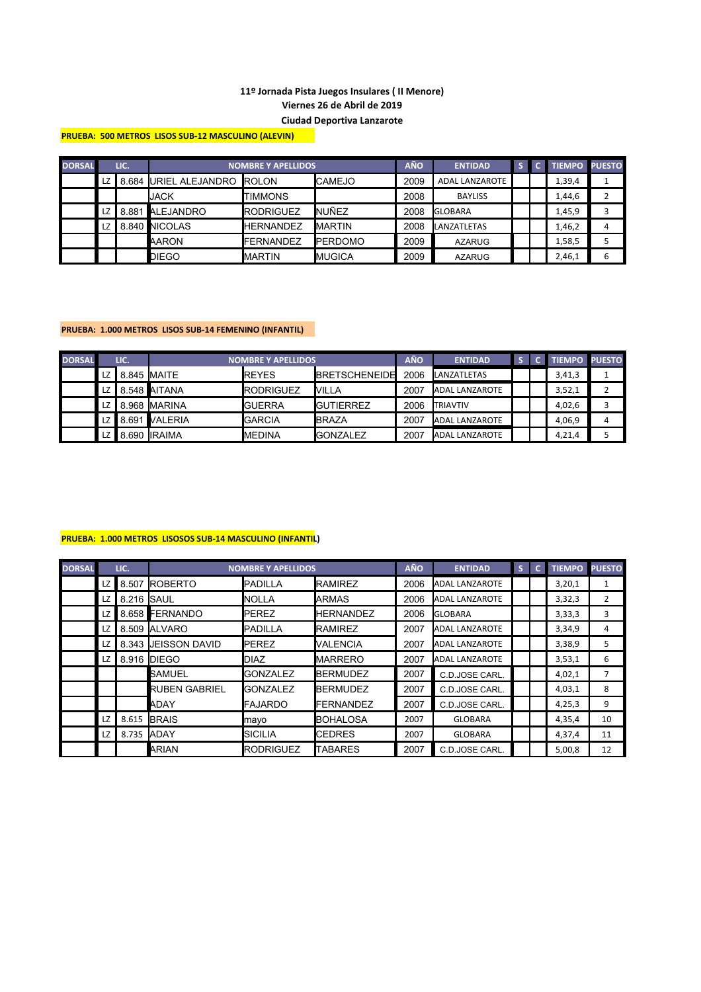**PRUEBA: 500 METROS LISOS SUB-12 MASCULINO (ALEVIN)** 

| <b>DORSAL</b> |    | LIC.  |                       | <b>NOMBRE Y APELLIDOS</b> |                 | <b>AÑO</b> | <b>ENTIDAD</b>        |  | <b>TIEMPO PUESTO</b> |   |
|---------------|----|-------|-----------------------|---------------------------|-----------------|------------|-----------------------|--|----------------------|---|
|               | LZ | 1.684 | URIEL ALEJANDRO ROLON |                           | <b>I</b> CAMEJO | 2009       | <b>ADAL LANZAROTE</b> |  | 1,39,4               |   |
|               |    |       | <b>JACK</b>           | <b>TIMMONS</b>            |                 | 2008       | <b>BAYLISS</b>        |  | 1,44,6               |   |
|               | LZ |       | 8.881 ALEJANDRO       | <b>IRODRIGUEZ</b>         | <b>INUÑEZ</b>   | 2008       | <b>GLOBARA</b>        |  | 1,45,9               |   |
|               | LZ |       | 8.840 INICOLAS        | <b>HERNANDEZ</b>          | <b>IMARTIN</b>  | 2008       | LANZATLETAS           |  | 1,46,2               |   |
|               |    |       | <b>AARON</b>          | FERNANDEZ                 | <b>IPERDOMO</b> | 2009       | <b>AZARUG</b>         |  | 1,58,5               |   |
|               |    |       | DIEGO                 | <b>IMARTIN</b>            | <b>IMUGICA</b>  | 2009       | <b>AZARUG</b>         |  | 2,46,1               | 6 |

# **PRUEBA: 1.000 METROS LISOS SUB-14 FEMENINO (INFANTIL)**

| <b>DORSAL</b> |      | LIC. |                      | <b>NOMBRE Y APELLIDOS</b> |                       | <b>AÑO</b> | <b>ENTIDAD</b>        |  | <b>TIEMPO PUESTO</b> |   |
|---------------|------|------|----------------------|---------------------------|-----------------------|------------|-----------------------|--|----------------------|---|
|               | LZ   |      | 8.845 <b>IMAITE</b>  | <b>IREYES</b>             | <b>IBRETSCHENEIDE</b> | 2006       | LANZATLETAS           |  | 3,41,3               |   |
|               | LZ   |      | 8.548 AITANA         | <b>IRODRIGUEZ</b>         | <b>NILLA</b>          | 2007       | <b>ADAL LANZAROTE</b> |  | 3,52,1               |   |
|               | LZ   |      | 8.968 MARINA         | <b>GUERRA</b>             | <b>IGUTIERREZ</b>     | 2006       | <b>ITRIAVTIV</b>      |  | 4,02,6               |   |
|               |      |      | LZ 8.691 VALERIA     | <b>GARCIA</b>             | <b>IBRAZA</b>         | 2007       | <b>ADAL LANZAROTE</b> |  | 4,06,9               | 4 |
|               | LZ I |      | <b>B.690 IIRAIMA</b> | <b>MEDINA</b>             | <b>IGONZALEZ</b>      | 2007       | <b>ADAL LANZAROTE</b> |  | 4,21,4               |   |

# **PRUEBA: 1.000 METROS LISOSOS SUB-14 MASCULINO (INFANTIL)**

| <b>DORSAL</b> |    | LIC.                |                            | <b>NOMBRE Y APELLIDOS</b> |                   | <b>AÑO</b> | <b>ENTIDAD</b>        | S. | <b>C</b> | <b>TIEMPO</b> | <b>PUESTO</b> |
|---------------|----|---------------------|----------------------------|---------------------------|-------------------|------------|-----------------------|----|----------|---------------|---------------|
|               | LZ |                     | 8.507 ROBERTO              | <b>PADILLA</b>            | <b>IRAMIREZ</b>   | 2006       | <b>ADAL LANZAROTE</b> |    |          | 3,20,1        |               |
|               | LZ | 8.216 <b>I</b> SAUL |                            | <b>NOLLA</b>              | <b>ARMAS</b>      | 2006       | <b>ADAL LANZAROTE</b> |    |          | 3,32,3        | 2             |
|               | LZ |                     | 8.658 FERNANDO             | <b>PEREZ</b>              | <b>HERNANDEZ</b>  | 2006       | <b>GLOBARA</b>        |    |          | 3,33,3        | 3             |
|               | LZ | 8.509               | <b>JALVARO</b>             | <b>PADILLA</b>            | <b>IRAMIREZ</b>   | 2007       | <b>ADAL LANZAROTE</b> |    |          | 3,34,9        | 4             |
|               | LZ |                     | 8.343 <b>JEISSON DAVID</b> | <b>PEREZ</b>              | <b>VALENCIA</b>   | 2007       | <b>ADAL LANZAROTE</b> |    |          | 3,38,9        | 5             |
|               | LZ |                     | 8.916 <b>IDIEGO</b>        | <b>DIAZ</b>               | <b>I</b> MARRERO  | 2007       | <b>ADAL LANZAROTE</b> |    |          | 3,53,1        | 6             |
|               |    |                     | <b>SAMUEL</b>              | <b>GONZALEZ</b>           | <b>IBERMUDEZ</b>  | 2007       | C.D.JOSE CARL.        |    |          | 4,02,1        | 7             |
|               |    |                     | <b>RUBEN GABRIEL</b>       | <b>GONZALEZ</b>           | <b>IBERMUDEZ</b>  | 2007       | C.D.JOSE CARL.        |    |          | 4,03,1        | 8             |
|               |    |                     | ADAY                       | <b>FAJARDO</b>            | <b>IFERNANDEZ</b> | 2007       | C.D.JOSE CARL.        |    |          | 4,25,3        | 9             |
|               | LZ | 8.615               | <b>BRAIS</b>               | mayo                      | <b>I</b> BOHALOSA | 2007       | <b>GLOBARA</b>        |    |          | 4,35,4        | 10            |
|               | LZ | 8.735 ADAY          |                            | <b>SICILIA</b>            | <b>I</b> CEDRES   | 2007       | <b>GLOBARA</b>        |    |          | 4,37,4        | 11            |
|               |    |                     | ARIAN                      | <b>RODRIGUEZ</b>          | <b>TABARES</b>    | 2007       | C.D.JOSE CARL.        |    |          | 5,00,8        | 12            |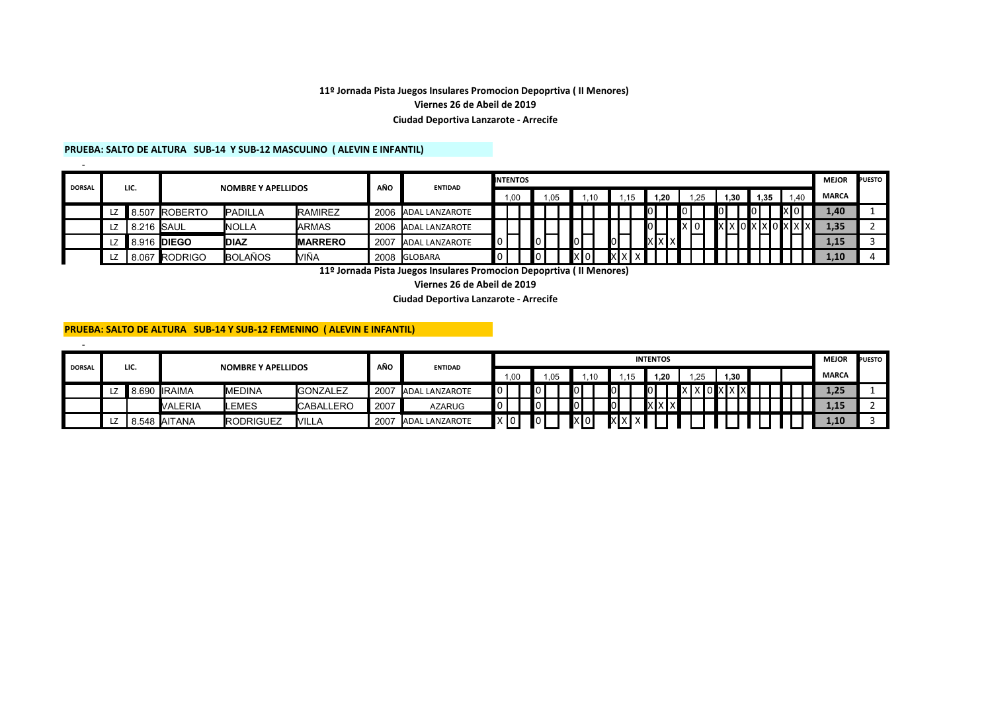### **11º Jornada Pista Juegos Insulares Promocion Depoprtiva ( II Menores) Viernes 26 de Abeil de 2019 Ciudad Deportiva Lanzarote - Arrecife**

#### **PRUEBA: SALTO DE ALTURA SUB-14 Y SUB-12 MASCULINO ( ALEVIN E INFANTIL)**

-

-

| <b>DORSAL</b> |   | LIC.        |                | <b>NOMBRE Y APELLIDOS</b> |                 | AÑO  | <b>ENTIDAD</b>        | <b>INTENTOS</b> |      |  |     |                |     |       |        |                |        |                      |       | <b>MEJOR</b> | <b>PUESTO</b> |
|---------------|---|-------------|----------------|---------------------------|-----------------|------|-----------------------|-----------------|------|--|-----|----------------|-----|-------|--------|----------------|--------|----------------------|-------|--------------|---------------|
|               |   |             |                |                           |                 |      |                       |                 | 1.00 |  | .05 |                | .10 |       | 1.20   | $^{\circ}$ .25 | 1.30   | 1.35                 | 1.40  | <b>MARCA</b> |               |
|               | ᇆ | 8.507       | <b>ROBERTO</b> | <b>PADILLA</b>            | <b>RAMIREZ</b>  | 2006 | ADAL LANZAROTE        |                 |      |  |     |                |     |       | וחו    |                |        | $\mathbf{I}^{\circ}$ | ixiol | 4,40         |               |
|               | ᇆ | 8.216 SAUL  |                | <b>INOLLA</b>             | <b>ARMAS</b>    | 2006 | <b>ADAL LANZAROTE</b> |                 |      |  |     |                |     |       | ЮI     |                | XXOXXO |                      |       | 1,35         |               |
|               |   | 8.916 DIEGO |                | <b>IDIAZ</b>              | <b>IMARRERO</b> | 2007 | <b>ADAL LANZAROTE</b> |                 |      |  |     | $\overline{0}$ |     | lol   | XIXIX. |                |        |                      |       | 1.15         |               |
|               | ᇆ | .067        | RODRIGO        | <b>BOLAÑOS</b>            | VIÑA            | 2008 | <b>GLOBARA</b>        |                 |      |  |     | xlo            |     | IXI X |        |                |        |                      |       | .10          |               |

**11º Jornada Pista Juegos Insulares Promocion Depoprtiva ( II Menores)** 

**Viernes 26 de Abeil de 2019**

**Ciudad Deportiva Lanzarote - Arrecife**

# **PRUEBA: SALTO DE ALTURA SUB-14 Y SUB-12 FEMENINO ( ALEVIN E INFANTIL)**

| <b>DORSAL</b> | LIC. |                       | <b>NOMBRE Y APELLIDOS</b> |                  | AÑO  | <b>ENTIDAD</b>        |     |      |                    |     |       |    |           |                 | <b>INTENTOS</b>           |                                                          |      |  | <b>MEJOR</b> | <b>PUESTO</b> |
|---------------|------|-----------------------|---------------------------|------------------|------|-----------------------|-----|------|--------------------|-----|-------|----|-----------|-----------------|---------------------------|----------------------------------------------------------|------|--|--------------|---------------|
|               |      |                       |                           |                  |      |                       |     | 1.00 |                    | .05 |       | 10 | <b>45</b> |                 | 1.20                      | 1.25                                                     | 1.30 |  | <b>MARCA</b> |               |
|               |      | 8.690 IRAIMA          | <b>MEDINA</b>             | <b>GONZALEZ</b>  | 2007 | <b>ADAL LANZAROTE</b> | ∎∩∎ |      | ПΟ                 |     | l O I |    |           | $\overline{10}$ |                           | <u>Ixloxxxx</u><br>$\mathsf{I} \times \mathsf{I} \times$ |      |  | 1,25         |               |
|               |      | <b>VALERIA</b>        | LEMES                     | <b>CABALLERO</b> | 2007 | <b>AZARUG</b>         |     |      | $\mathbf{I} \circ$ |     | l o l |    |           |                 | $\mathbf{X}$ $\mathbf{X}$ |                                                          |      |  | 1,15         |               |
|               |      | 3.548 <b>J</b> AITANA | <b>RODRIGUEZ</b>          | <b>VILLA</b>     | 2007 | <b>ADAL LANZAROTE</b> | x 0 |      | $\blacksquare$     |     | X 0   |    | IXI X     |                 |                           |                                                          |      |  | 1,10         |               |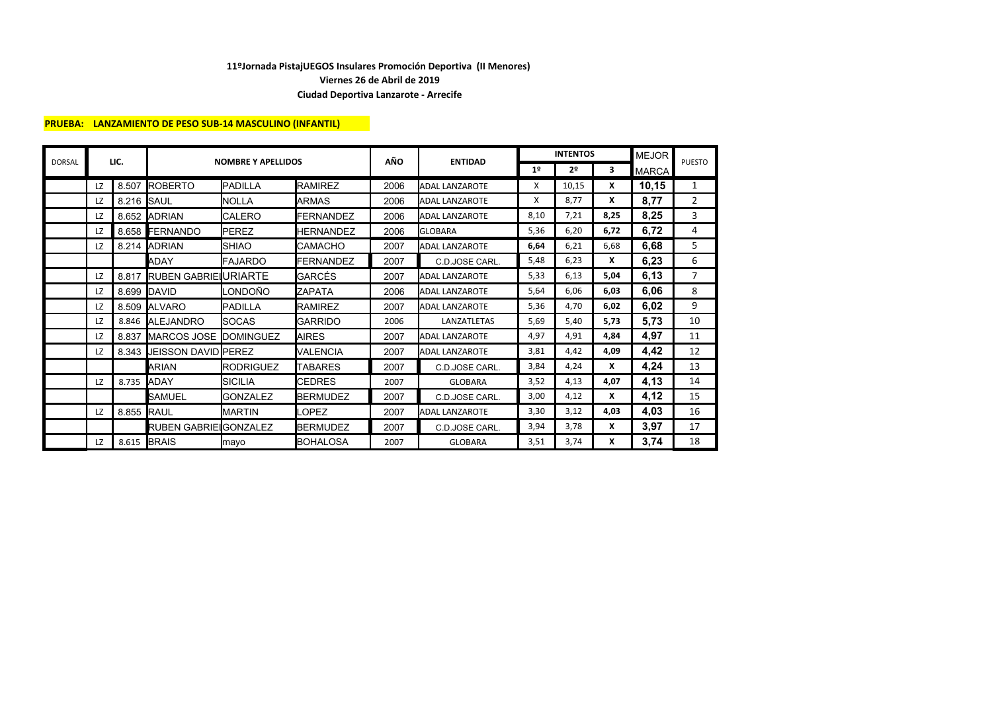### **PRUEBA: LANZAMIENTO DE PESO SUB-14 MASCULINO (INFANTIL)**

| <b>DORSAL</b> |           | LIC.       |                             | <b>NOMBRE Y APELLIDOS</b> |                   | AÑO  | <b>ENTIDAD</b>        |                | <b>INTENTOS</b> |      | <b>MEJOR</b> | <b>PUESTO</b> |
|---------------|-----------|------------|-----------------------------|---------------------------|-------------------|------|-----------------------|----------------|-----------------|------|--------------|---------------|
|               |           |            |                             |                           |                   |      |                       | 1 <sup>°</sup> | 2 <sup>0</sup>  | 3    | <b>MARCA</b> |               |
|               | LZ        | 8.507      | <b>ROBERTO</b>              | <b>PADILLA</b>            | <b>RAMIREZ</b>    | 2006 | <b>ADAL LANZAROTE</b> | X              | 10,15           | X    | 10,15        | 1             |
|               | LZ        | 8.216 SAUL |                             | <b>NOLLA</b>              | <b>ARMAS</b>      | 2006 | <b>ADAL LANZAROTE</b> | X              | 8.77            | X    | 8,77         | 2             |
|               | LZ        |            | 8.652 ADRIAN                | <b>CALERO</b>             | <b>FERNANDEZ</b>  | 2006 | <b>ADAL LANZAROTE</b> | 8,10           | 7,21            | 8,25 | 8,25         | 3             |
|               | LZ        |            | 8.658 FERNANDO              | <b>PEREZ</b>              | <b>HERNANDEZ</b>  | 2006 | <b>GLOBARA</b>        | 5,36           | 6,20            | 6,72 | 6,72         | 4             |
|               | LZ        |            | 8.214 ADRIAN                | <b>SHIAO</b>              | <b>CAMACHO</b>    | 2007 | <b>ADAL LANZAROTE</b> | 6,64           | 6,21            | 6,68 | 6,68         | 5             |
|               |           |            | <b>ADAY</b>                 | FAJARDO                   | <b>FERNANDEZ</b>  | 2007 | C.D.JOSE CARL.        | 5,48           | 6,23            | X    | 6,23         | 6             |
|               | LZ        | 8.817      | <b>RUBEN GABRIE URIARTE</b> |                           | GARCÉS            | 2007 | <b>ADAL LANZAROTE</b> | 5,33           | 6,13            | 5,04 | 6,13         | 7             |
|               | LZ        | 8.699      | <b>IDAVID</b>               | LONDOÑO                   | <b>ZAPATA</b>     | 2006 | <b>ADAL LANZAROTE</b> | 5,64           | 6,06            | 6,03 | 6,06         | 8             |
|               | LZ        |            | 8.509 ALVARO                | PADILLA                   | <b>RAMIREZ</b>    | 2007 | <b>ADAL LANZAROTE</b> | 5,36           | 4.70            | 6,02 | 6,02         | 9             |
|               | LZ        |            | 8.846 ALEJANDRO             | <b>SOCAS</b>              | <b>GARRIDO</b>    | 2006 | LANZATLETAS           | 5,69           | 5,40            | 5,73 | 5,73         | 10            |
|               | LZ        | 8.837      | MARCOS JOSE                 | <b>DOMINGUEZ</b>          | <b>AIRES</b>      | 2007 | <b>ADAL LANZAROTE</b> | 4,97           | 4,91            | 4,84 | 4,97         | 11            |
|               | LZ        | 8.343      | <b>JEISSON DAVID PEREZ</b>  |                           | VALENCIA          | 2007 | <b>ADAL LANZAROTE</b> | 3,81           | 4,42            | 4,09 | 4,42         | 12            |
|               |           |            | ARIAN                       | <b>RODRIGUEZ</b>          | <b>TABARES</b>    | 2007 | C.D.JOSE CARL.        | 3,84           | 4,24            | X    | 4,24         | 13            |
|               | <b>LZ</b> | 8.735      | <b>ADAY</b>                 | <b>SICILIA</b>            | <b>CEDRES</b>     | 2007 | <b>GLOBARA</b>        | 3,52           | 4,13            | 4,07 | 4,13         | 14            |
|               |           |            | SAMUEL                      | <b>GONZALEZ</b>           | <b>BERMUDEZ</b>   | 2007 | C.D.JOSE CARL.        | 3,00           | 4,12            | X    | 4,12         | 15            |
|               | LZ        | 8.855      | <b>IRAUL</b>                | <b>MARTIN</b>             | _OPEZ             | 2007 | <b>ADAL LANZAROTE</b> | 3,30           | 3,12            | 4,03 | 4,03         | 16            |
|               |           |            | RUBEN GABRIEIGONZALEZ       |                           | <b>BERMUDEZ</b>   | 2007 | C.D.JOSE CARL.        | 3,94           | 3,78            | X    | 3,97         | 17            |
|               | LZ        | 8.615      | <b>BRAIS</b>                | mayo                      | <b>I</b> BOHALOSA | 2007 | <b>GLOBARA</b>        | 3,51           | 3,74            | x    | 3,74         | 18            |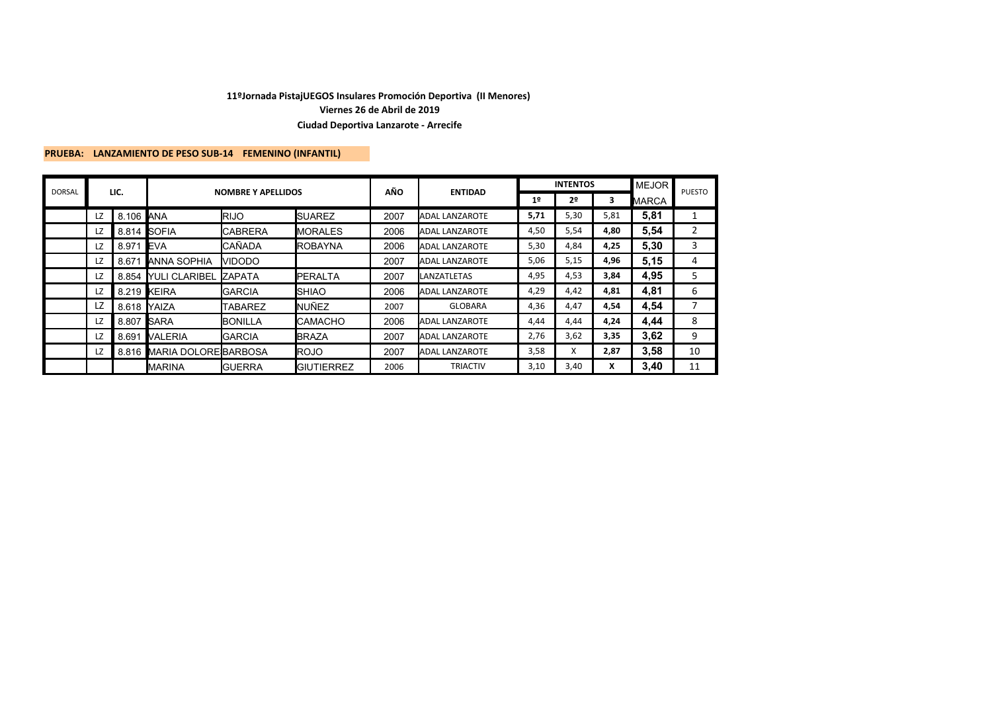# **PRUEBA: LANZAMIENTO DE PESO SUB-14 FEMENINO (INFANTIL)**

| <b>DORSAL</b> |    | LIC.       |                            | <b>NOMBRE Y APELLIDOS</b> |                    | AÑO  |                       |                | <b>INTENTOS</b> |      | <b>MEJOR</b> | <b>PUESTO</b> |
|---------------|----|------------|----------------------------|---------------------------|--------------------|------|-----------------------|----------------|-----------------|------|--------------|---------------|
|               |    |            |                            |                           |                    |      | <b>ENTIDAD</b>        | 1 <sup>°</sup> | 2º              | з    | <b>MARCA</b> |               |
|               | LZ | 8.106 ANA  |                            | <b>RIJO</b>               | <b>ISUAREZ</b>     | 2007 | <b>ADAL LANZAROTE</b> | 5,71           | 5,30            | 5,81 | 5,81         | 1             |
|               | LZ |            | 8.814 SOFIA                | <b>CABRERA</b>            | <b>MORALES</b>     | 2006 | <b>ADAL LANZAROTE</b> | 4,50           | 5,54            | 4,80 | 5,54         | 2             |
|               | LZ | 8.971 EVA  |                            | <b>CAÑADA</b>             | <b>IROBAYNA</b>    | 2006 | <b>ADAL LANZAROTE</b> | 5,30           | 4,84            | 4,25 | 5,30         | 3             |
|               | LZ | 8.671      | <b>ANNA SOPHIA</b>         | <b>VIDODO</b>             |                    | 2007 | <b>ADAL LANZAROTE</b> | 5,06           | 5,15            | 4,96 | 5,15         | 4             |
|               | LZ | 8.854      | <b>NULI CLARIBEL</b>       | <b>ZAPATA</b>             | <b>IPERALTA</b>    | 2007 | LANZATLETAS           | 4,95           | 4,53            | 3,84 | 4,95         | 5             |
|               | LZ |            | 8.219 KEIRA                | <b>GARCIA</b>             | <b>SHIAO</b>       | 2006 | ADAL LANZAROTE        | 4,29           | 4,42            | 4,81 | 4,81         | 6             |
|               | LZ | 8.618      | <b>IYAIZA</b>              | <b>TABAREZ</b>            | <b>NUÑEZ</b>       | 2007 | <b>GLOBARA</b>        | 4,36           | 4,47            | 4,54 | 4,54         |               |
|               | LZ | 8.807 SARA |                            | <b>BONILLA</b>            | <b>ICAMACHO</b>    | 2006 | <b>ADAL LANZAROTE</b> | 4,44           | 4,44            | 4,24 | 4,44         | 8             |
|               | LZ | 8.691      | <b>VALERIA</b>             | <b>GARCIA</b>             | <b>BRAZA</b>       | 2007 | ADAL LANZAROTE        | 2,76           | 3,62            | 3,35 | 3,62         | 9             |
|               | LZ |            | 8.816 MARIA DOLORE BARBOSA |                           | <b>IROJO</b>       | 2007 | <b>ADAL LANZAROTE</b> | 3,58           | X               | 2,87 | 3,58         | 10            |
|               |    |            | <b>MARINA</b>              | <b>GUERRA</b>             | <b>IGIUTIERREZ</b> | 2006 | <b>TRIACTIV</b>       | 3,10           | 3,40            | x    | 3,40         | 11            |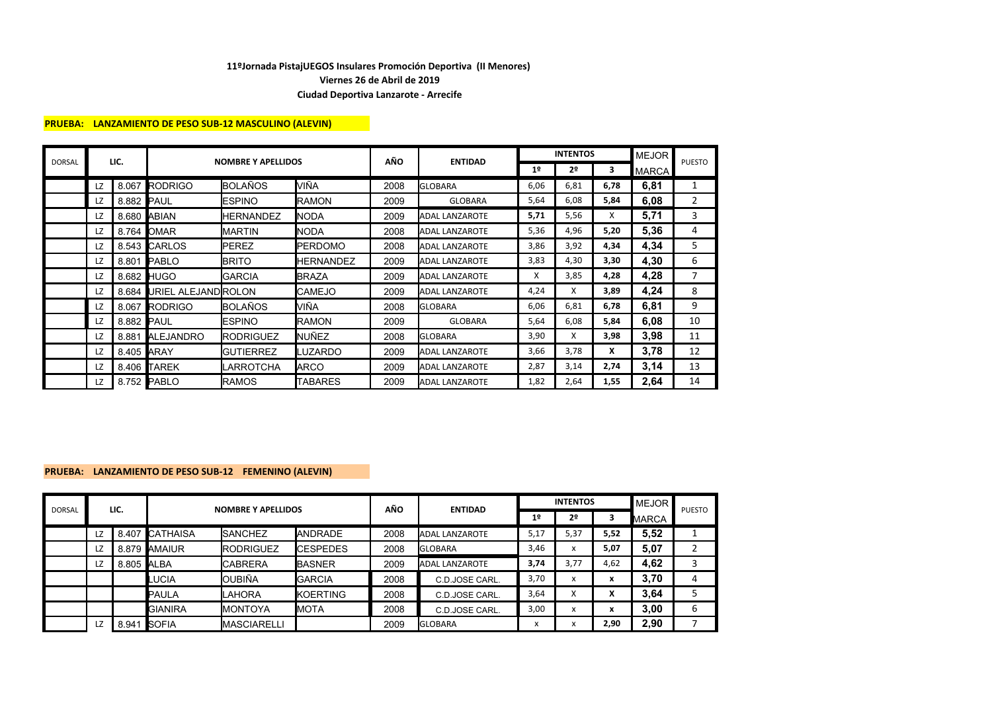### **PRUEBA: LANZAMIENTO DE PESO SUB-12 MASCULINO (ALEVIN)**

|               |    |            |                          |                           |                  | AÑO  |                       |                | <b>INTENTOS</b> |      | <b>MEJOR</b> | <b>PUESTO</b> |
|---------------|----|------------|--------------------------|---------------------------|------------------|------|-----------------------|----------------|-----------------|------|--------------|---------------|
| <b>DORSAL</b> |    | LIC.       |                          | <b>NOMBRE Y APELLIDOS</b> |                  |      | <b>ENTIDAD</b>        | 1 <sup>°</sup> | 2 <sup>0</sup>  | 3    | <b>MARCA</b> |               |
|               | LZ |            | 8.067 RODRIGO            | <b>BOLAÑOS</b>            | VIÑA             | 2008 | <b>GLOBARA</b>        | 6,06           | 6,81            | 6,78 | 6,81         | 1             |
|               | LZ | 8.882 PAUL |                          | <b>IESPINO</b>            | <b>IRAMON</b>    | 2009 | <b>GLOBARA</b>        | 5,64           | 6,08            | 5,84 | 6,08         | 2             |
|               | LZ |            | 8.680 ABIAN              | <b>HERNANDEZ</b>          | <b>NODA</b>      | 2009 | <b>ADAL LANZAROTE</b> | 5,71           | 5,56            | X    | 5,71         | 3             |
|               | LZ |            | 8.764 OMAR               | <b>IMARTIN</b>            | <b>NODA</b>      | 2008 | <b>ADAL LANZAROTE</b> | 5,36           | 4,96            | 5,20 | 5,36         | 4             |
|               | LZ |            | 8.543 CARLOS             | <b>PEREZ</b>              | <b>IPERDOMO</b>  | 2008 | <b>ADAL LANZAROTE</b> | 3,86           | 3,92            | 4,34 | 4,34         | 5             |
|               | LZ |            | 8.801 PABLO              | <b>BRITO</b>              | <b>HERNANDEZ</b> | 2009 | <b>ADAL LANZAROTE</b> | 3,83           | 4,30            | 3,30 | 4,30         | 6             |
|               | LZ |            | 8.682 HUGO               | <b>GARCIA</b>             | <b>BRAZA</b>     | 2009 | <b>ADAL LANZAROTE</b> | X              | 3,85            | 4,28 | 4,28         | 7             |
|               | LZ |            | 8.684 URIEL ALEJANDROLON |                           | <b>CAMEJO</b>    | 2009 | <b>ADAL LANZAROTE</b> | 4,24           | X               | 3,89 | 4,24         | 8             |
|               | LZ |            | 8.067 RODRIGO            | BOLAÑOS                   | VIÑA             | 2008 | <b>GLOBARA</b>        | 6,06           | 6,81            | 6,78 | 6,81         | 9             |
|               | LZ | 8.882 PAUL |                          | <b>IESPINO</b>            | <b>IRAMON</b>    | 2009 | <b>GLOBARA</b>        | 5,64           | 6,08            | 5,84 | 6,08         | 10            |
|               | LZ | 8.881      | <b>ALEJANDRO</b>         | <b>RODRIGUEZ</b>          | <b>I</b> NUÑEZ   | 2008 | <b>GLOBARA</b>        | 3,90           | X               | 3,98 | 3,98         | 11            |
|               | LZ | 8.405 ARAY |                          | <b>GUTIERREZ</b>          | LUZARDO          | 2009 | <b>ADAL LANZAROTE</b> | 3,66           | 3,78            | X    | 3,78         | 12            |
|               | LZ | 8.406      | <b>TAREK</b>             | ILARROTCHA                | <b>ARCO</b>      | 2009 | <b>ADAL LANZAROTE</b> | 2,87           | 3,14            | 2,74 | 3,14         | 13            |
|               | LZ |            | 8.752 PABLO              | <b>IRAMOS</b>             | <b>TABARES</b>   | 2009 | <b>ADAL LANZAROTE</b> | 1,82           | 2,64            | 1,55 | 2,64         | 14            |

### **PRUEBA: LANZAMIENTO DE PESO SUB-12 FEMENINO (ALEVIN)**

| <b>DORSAL</b> |    |            |                | <b>NOMBRE Y APELLIDOS</b> |                  | AÑO  |                       |                | <b>INTENTOS</b>           |                | <b>MEJOR</b> | <b>PUESTO</b> |
|---------------|----|------------|----------------|---------------------------|------------------|------|-----------------------|----------------|---------------------------|----------------|--------------|---------------|
|               |    | LIC.       |                |                           |                  |      | <b>ENTIDAD</b>        | 1 <sup>°</sup> | 2º                        |                | MARCA        |               |
|               | LZ |            | 8.407 CATHAISA | <b>SANCHEZ</b>            | <b>ANDRADE</b>   | 2008 | <b>ADAL LANZAROTE</b> | 5,17           | 5,37                      | 5,52           | 5,52         |               |
|               | LZ |            | 8.879 AMAIUR   | <b>RODRIGUEZ</b>          | <b>ICESPEDES</b> | 2008 | <b>GLOBARA</b>        | 3,46           | X                         | 5,07           | 5,07         |               |
|               | LZ | 8.805 ALBA |                | <b>CABRERA</b>            | <b>BASNER</b>    | 2009 | <b>ADAL LANZAROTE</b> | 3,74           | 3.77                      | 4,62           | 4,62         | 3             |
|               |    |            | <b>UCIA</b>    | <b>OUBIÑA</b>             | <b>GARCIA</b>    | 2008 | C.D.JOSE CARL.        | 3,70           | x                         | x              | 3,70         | 4             |
|               |    |            | <b>PAULA</b>   | <b>LAHORA</b>             | <b>KOERTING</b>  | 2008 | C.D.JOSE CARL.        | 3,64           | $\checkmark$<br>$\lambda$ | v<br>$\lambda$ | 3,64         |               |
|               |    |            | <b>GIANIRA</b> | <b>MONTOYA</b>            | <b>MOTA</b>      | 2008 | C.D.JOSE CARL.        | 3,00           | $\check{}$                | x              | 3,00         | 6             |
|               | LZ | 8.941      | <b>SOFIA</b>   | <b>MASCIARELLI</b>        |                  | 2009 | <b>GLOBARA</b>        | $\lambda$      |                           | 2,90           | 2,90         |               |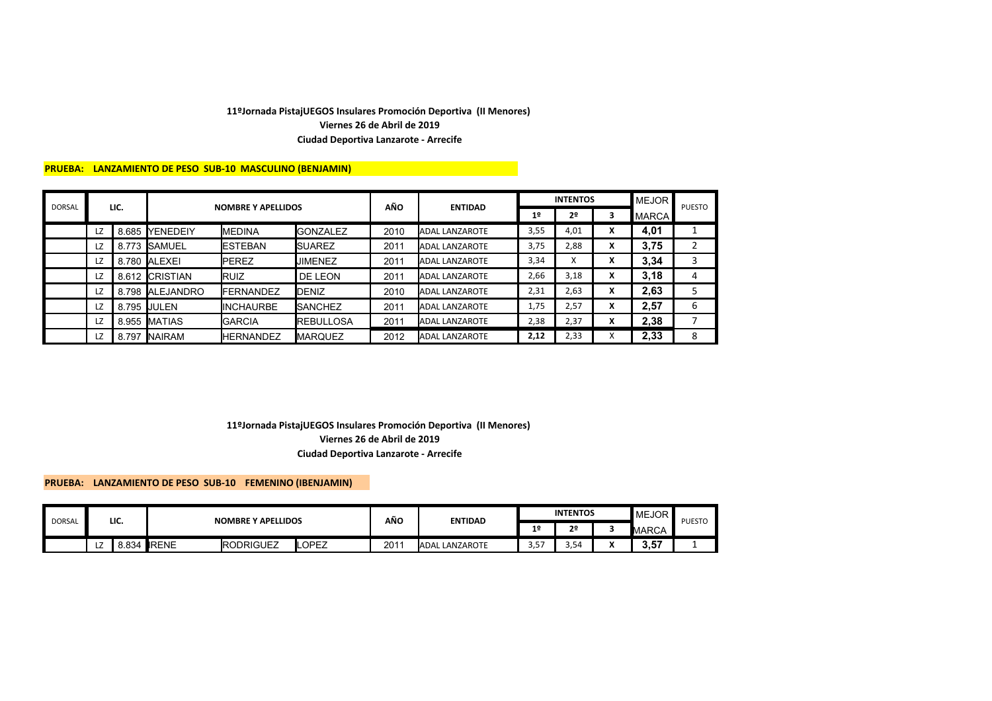### **PRUEBA: LANZAMIENTO DE PESO SUB-10 MASCULINO (BENJAMIN)**

| <b>DORSAL</b> |    | LIC.  |                  | <b>NOMBRE Y APELLIDOS</b> |                  | AÑO  |                       |                | <b>INTENTOS</b> |                                    | <b>IMEJOR</b> | <b>PUESTO</b> |
|---------------|----|-------|------------------|---------------------------|------------------|------|-----------------------|----------------|-----------------|------------------------------------|---------------|---------------|
|               |    |       |                  |                           |                  |      | <b>ENTIDAD</b>        | 1 <sup>°</sup> | 2 <sup>o</sup>  | 3                                  | <b>MARCA</b>  |               |
|               | LZ | 8.685 | <b>IYENEDEIY</b> | <b>MEDINA</b>             | <b>GONZALEZ</b>  | 2010 | <b>ADAL LANZAROTE</b> | 3,55           | 4,01            | x                                  | 4,01          |               |
|               | LZ | 8.773 | <b>I</b> SAMUEL  | <b>ESTEBAN</b>            | <b>ISUAREZ</b>   | 2011 | <b>ADAL LANZAROTE</b> | 3,75           | 2,88            | x                                  | 3,75          |               |
|               | LZ | 8.780 | <b>ALEXEI</b>    | <b>IPEREZ</b>             | <b>JIMENEZ</b>   | 2011 | <b>ADAL LANZAROTE</b> | 3,34           | $\lambda$       | $\check{}$<br>$\ddot{\phantom{0}}$ | 3,34          | 3             |
|               | LZ | 8.612 | <b>ICRISTIAN</b> | <b>IRUIZ</b>              | DE LEON          | 2011 | <b>ADAL LANZAROTE</b> | 2,66           | 3,18            | x                                  | 3.18          | 4             |
|               | LZ | 8.798 | <b>ALEJANDRO</b> | <b>IFERNANDEZ</b>         | DENIZ            | 2010 | ADAL LANZAROTE        | 2,31           | 2,63            | $\mathbf v$<br>$\mathbf{v}$        | 2.63          |               |
|               | LZ | 8.795 | <b>IJULEN</b>    | <b>INCHAURBE</b>          | <b>SANCHEZ</b>   | 2011 | ADAL LANZAROTE        | 1,75           | 2,57            | x                                  | 2,57          | 6             |
|               | LZ | 8.955 | <b>IMATIAS</b>   | <b>IGARCIA</b>            | <b>REBULLOSA</b> | 2011 | <b>ADAL LANZAROTE</b> | 2,38           | 2,37            | $\check{}$<br>л                    | 2,38          |               |
|               | LZ | 8.797 | <b>INAIRAM</b>   | <b>HERNANDEZ</b>          | <b>MARQUEZ</b>   | 2012 | <b>ADAL LANZAROTE</b> | 2,12           | 2,33            |                                    | 2,33          | 8             |

### **Viernes 26 de Abril de 2019 11ºJornada PistajUEGOS Insulares Promoción Deportiva (II Menores) Ciudad Deportiva Lanzarote - Arrecife**

### **PRUEBA: LANZAMIENTO DE PESO SUB-10 FEMENINO (IBENJAMIN)**

|               |   |          |              |                           |       | AÑO |                     |                | <b>INTENTOS</b> | <b>MEJOR</b> |               |
|---------------|---|----------|--------------|---------------------------|-------|-----|---------------------|----------------|-----------------|--------------|---------------|
| <b>DORSAL</b> |   | LIC.     |              | <b>NOMBRE Y APELLIDOS</b> |       |     | <b>ENTIDAD</b>      | 1 <sup>°</sup> | ີ               | MARCA        | <b>PUESTO</b> |
|               | ᄕ | ٔ 834، د | <b>IRENE</b> | <b>IRODRIGUEZ</b>         | LOPEZ | 201 | L LANZAROTE<br>ADAL | $ -$<br>ں, ں   | $\sim$<br>5.54  | 3.57         |               |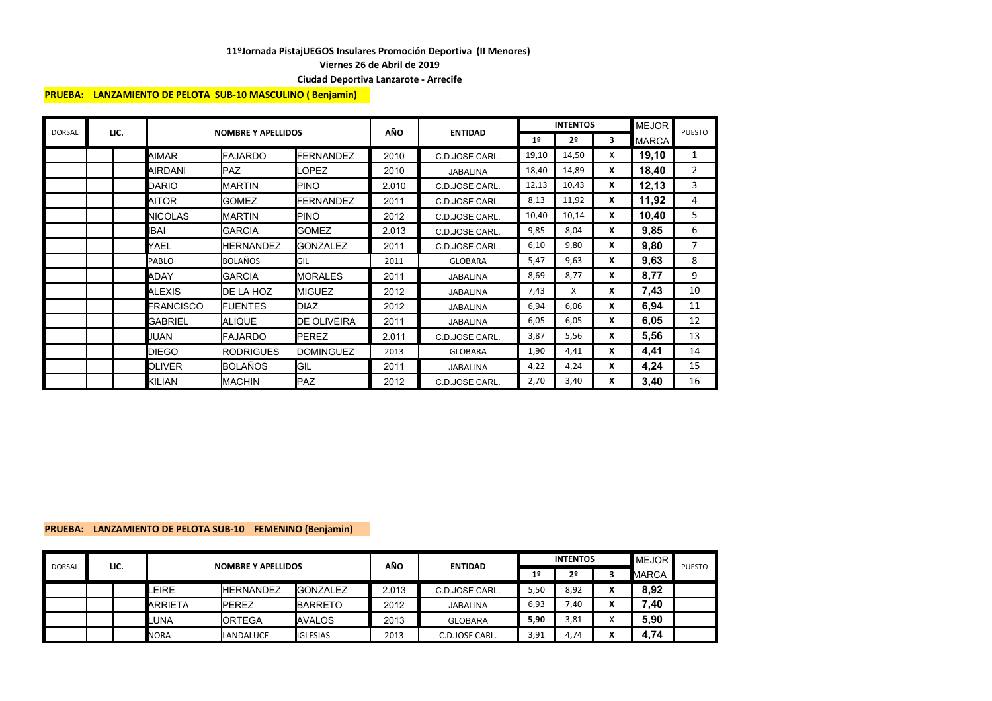**Viernes 26 de Abril de 2019**

#### **Ciudad Deportiva Lanzarote - Arrecife**

#### **PRUEBA: LANZAMIENTO DE PELOTA SUB-10 MASCULINO ( Benjamin)**

| <b>DORSAL</b> | LIC. |                | <b>NOMBRE Y APELLIDOS</b> |                    | AÑO   | <b>ENTIDAD</b>  |                | <b>INTENTOS</b> |   | <b>MEJOR</b> | <b>PUESTO</b>  |
|---------------|------|----------------|---------------------------|--------------------|-------|-----------------|----------------|-----------------|---|--------------|----------------|
|               |      |                |                           |                    |       |                 | 1 <sup>°</sup> | 2 <sup>o</sup>  | 3 | <b>MARCA</b> |                |
|               |      | AIMAR          | <b>FAJARDO</b>            | <b>FERNANDEZ</b>   | 2010  | C.D.JOSE CARL.  | 19,10          | 14,50           | X | 19,10        | 1              |
|               |      | <b>AIRDANI</b> | <b>PAZ</b>                | OPEZ.              | 2010  | <b>JABALINA</b> | 18,40          | 14,89           | X | 18,40        | $\overline{2}$ |
|               |      | <b>DARIO</b>   | <b>MARTIN</b>             | <b>PINO</b>        | 2.010 | C.D.JOSE CARL.  | 12,13          | 10,43           | X | 12,13        | 3              |
|               |      | AITOR          | <b>GOMEZ</b>              | <b>FERNANDEZ</b>   | 2011  | C.D.JOSE CARL.  | 8,13           | 11,92           | X | 11,92        | 4              |
|               |      | <b>NICOLAS</b> | <b>MARTIN</b>             | <b>PINO</b>        | 2012  | C.D.JOSE CARL.  | 10,40          | 10,14           | x | 10,40        | 5              |
|               |      | IBAI           | <b>GARCIA</b>             | <b>GOMEZ</b>       | 2.013 | C.D.JOSE CARL.  | 9,85           | 8,04            | X | 9,85         | 6              |
|               |      | YAEL           | <b>HERNANDEZ</b>          | <b>GONZALEZ</b>    | 2011  | C.D.JOSE CARL.  | 6,10           | 9,80            | x | 9,80         | $\overline{7}$ |
|               |      | <b>PABLO</b>   | <b>BOLAÑOS</b>            | GIL                | 2011  | <b>GLOBARA</b>  | 5,47           | 9,63            | X | 9,63         | 8              |
|               |      | ADAY           | <b>GARCIA</b>             | <b>MORALES</b>     | 2011  | <b>JABALINA</b> | 8,69           | 8,77            | X | 8,77         | 9              |
|               |      | ALEXIS         | DE LA HOZ                 | <b>MIGUEZ</b>      | 2012  | <b>JABALINA</b> | 7,43           | X               | X | 7,43         | 10             |
|               |      | FRANCISCO      | <b>FUENTES</b>            | <b>DIAZ</b>        | 2012  | <b>JABALINA</b> | 6,94           | 6,06            | X | 6,94         | 11             |
|               |      | <b>GABRIEL</b> | <b>ALIQUE</b>             | <b>DE OLIVEIRA</b> | 2011  | <b>JABALINA</b> | 6,05           | 6,05            | X | 6,05         | 12             |
|               |      | JUAN           | <b>FAJARDO</b>            | <b>PEREZ</b>       | 2.011 | C.D.JOSE CARL.  | 3,87           | 5,56            | X | 5,56         | 13             |
|               |      | <b>DIEGO</b>   | <b>RODRIGUES</b>          | <b>DOMINGUEZ</b>   | 2013  | <b>GLOBARA</b>  | 1,90           | 4,41            | X | 4,41         | 14             |
|               |      | <b>OLIVER</b>  | <b>BOLAÑOS</b>            | <b>GIL</b>         | 2011  | <b>JABALINA</b> | 4,22           | 4,24            | x | 4,24         | 15             |
|               |      | KILIAN         | <b>MACHIN</b>             | <b>PAZ</b>         | 2012  | C.D.JOSE CARL.  | 2,70           | 3,40            | X | 3,40         | 16             |

### **PRUEBA: LANZAMIENTO DE PELOTA SUB-10 FEMENINO (Benjamin)**

| <b>DORSAL</b> | LIC. |  | <b>NOMBRE Y APELLIDOS</b> |                  |                 | AÑO   | <b>ENTIDAD</b> |      | <b>INTENTOS</b> | <b>MEJOR</b> | <b>PUESTO</b> |  |
|---------------|------|--|---------------------------|------------------|-----------------|-------|----------------|------|-----------------|--------------|---------------|--|
|               |      |  |                           |                  |                 |       |                | 1º   | 2∘              |              | <b>MARCA</b>  |  |
|               |      |  | EIRE.                     | <b>HERNANDEZ</b> | <b>GONZALEZ</b> | 2.013 | C.D.JOSE CARL. | 5,50 | 8,92            |              | 8,92          |  |
|               |      |  | ARRIETA                   | <b>IPEREZ</b>    | <b>BARRETO</b>  | 2012  | JABALINA       | 6,93 | 7,40            |              | .40           |  |
|               |      |  | <b>UNA</b>                | <b>ORTEGA</b>    | <b>AVALOS</b>   | 2013  | <b>GLOBARA</b> | 5,90 | 3,81            |              | 5,90          |  |
|               |      |  | <b>NORA</b>               | LANDALUCE        | <b>IGLESIAS</b> | 2013  | C.D.JOSE CARL. | 3,91 | 4.74            |              | .74<br>4.     |  |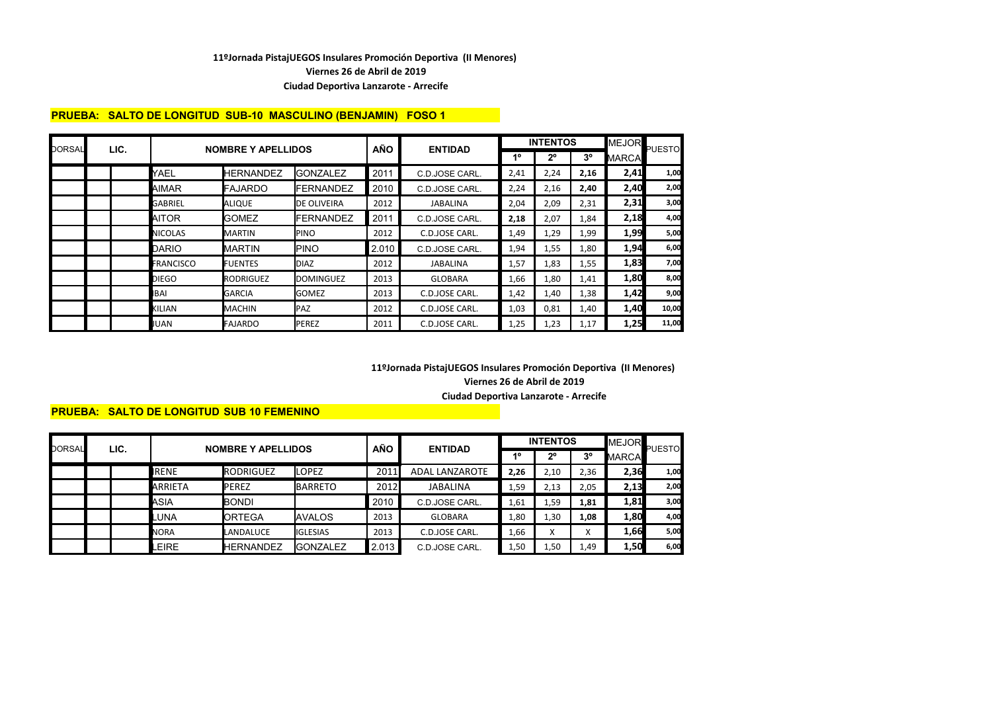**Viernes 26 de Abril de 2019**

#### **Ciudad Deportiva Lanzarote - Arrecife**

# **PRUEBA: SALTO DE LONGITUD SUB-10 MASCULINO (BENJAMIN) FOSO 1**

| DORSAL | LIC. |                  | <b>NOMBRE Y APELLIDOS</b> |                   | <b>AÑO</b> | <b>ENTIDAD</b>  |             | <b>INTENTOS</b> |                | <b>MEJOR</b> | <b>PUESTO</b> |
|--------|------|------------------|---------------------------|-------------------|------------|-----------------|-------------|-----------------|----------------|--------------|---------------|
|        |      |                  |                           |                   |            |                 | $1^{\circ}$ | $2^{\circ}$     | 3 <sup>o</sup> | <b>MARCA</b> |               |
|        |      | YAEL             | <b>HERNANDEZ</b>          | <b>GONZALEZ</b>   | 2011       | C.D.JOSE CARL.  | 2,41        | 2,24            | 2,16           | 2,41         | 1,00          |
|        |      | <b>AIMAR</b>     | <b>FAJARDO</b>            | <b>IFERNANDEZ</b> | 2010       | C.D.JOSE CARL.  | 2,24        | 2,16            | 2,40           | 2,40         | 2,00          |
|        |      | GABRIEL          | <b>ALIQUE</b>             | DE OLIVEIRA       | 2012       | <b>JABALINA</b> | 2,04        | 2,09            | 2,31           | 2,31         | 3,00          |
|        |      | AITOR            | <b>I</b> GOMEZ            | <b>FERNANDEZ</b>  | 2011       | C.D.JOSE CARL.  | 2,18        | 2,07            | 1,84           | 2,18         | 4,00          |
|        |      | <b>NICOLAS</b>   | <b>MARTIN</b>             | <b>PINO</b>       | 2012       | C.D.JOSE CARL.  | 1,49        | 1,29            | 1,99           | 1,99         | 5,00          |
|        |      | DARIO            | <b>MARTIN</b>             | <b>PINO</b>       | 2.010      | C.D.JOSE CARL.  | 1,94        | 1,55            | 1,80           | 1,94         | 6,00          |
|        |      | <b>FRANCISCO</b> | <b>FUENTES</b>            | <b>DIAZ</b>       | 2012       | JABALINA        | 1,57        | 1,83            | 1,55           | 1,83         | 7,00          |
|        |      | DIEGO            | <b>RODRIGUEZ</b>          | <b>DOMINGUEZ</b>  | 2013       | <b>GLOBARA</b>  | 1,66        | 1,80            | 1,41           | 1,80         | 8,00          |
|        |      | BAI              | <b>GARCIA</b>             | <b>GOMEZ</b>      | 2013       | C.D.JOSE CARL.  | 1,42        | 1,40            | 1,38           | 1,42         | 9,00          |
|        |      | KILIAN           | MACHIN                    | PAZ               | 2012       | C.D.JOSE CARL.  | 1,03        | 0,81            | 1,40           | 1,40         | 10,00         |
|        |      | JUAN             | <b>FAJARDO</b>            | <b>PEREZ</b>      | 2011       | C.D.JOSE CARL.  | 1,25        | 1,23            | 1,17           | 1,25         | 11,00         |

### **Viernes 26 de Abril de 2019 11ºJornada PistajUEGOS Insulares Promoción Deportiva (II Menores) Ciudad Deportiva Lanzarote - Arrecife**

# **PRUEBA: SALTO DE LONGITUD SUB 10 FEMENINO**

| DORSAL | LIC. |             | <b>NOMBRE Y APELLIDOS</b> |                 |            | <b>ENTIDAD</b>        |      | <b>INTENTOS</b>    | <b>MEJOR</b>      | PUESTO |      |
|--------|------|-------------|---------------------------|-----------------|------------|-----------------------|------|--------------------|-------------------|--------|------|
|        |      |             |                           |                 | <b>AÑO</b> |                       | 40   | 20                 | 3 <sup>o</sup>    | MARCA  |      |
|        |      | IRENE       | <b>RODRIGUEZ</b>          | <b>LOPEZ</b>    | 2011       | <b>ADAL LANZAROTE</b> | 2,26 | 2,10               | 2,36              | 2,36   | 1,00 |
|        |      | ARRIETA     | <b>PEREZ</b>              | <b>BARRETO</b>  | 2012       | <b>JABALINA</b>       | 1,59 | 2,13               | 2,05              | 2,13   | 2,00 |
|        |      | ASIA        | BONDI                     |                 | 2010       | C.D.JOSE CARL.        | 1,61 | 59ء                | 1,81              | 1,81   | 3,00 |
|        |      | LUNA.       | <b>ORTEGA</b>             | <b>AVALOS</b>   | 2013       | <b>GLOBARA</b>        | 1,80 | 1,30               | 1,08              | 1,80   | 4,00 |
|        |      | <b>NORA</b> | LANDALUCE                 | <b>IGLESIAS</b> | 2013       | C.D.JOSE CARL.        | 1,66 | $\checkmark$<br>Λ. | $\mathbf{v}$<br>л | 1,66   | 5,00 |
|        |      | <b>EIRE</b> | <b>HERNANDEZ</b>          | <b>GONZALEZ</b> | 2.013      | C.D.JOSE CARL.        | 1,50 | 1,50               | 1,49              | 1,50   | 6,00 |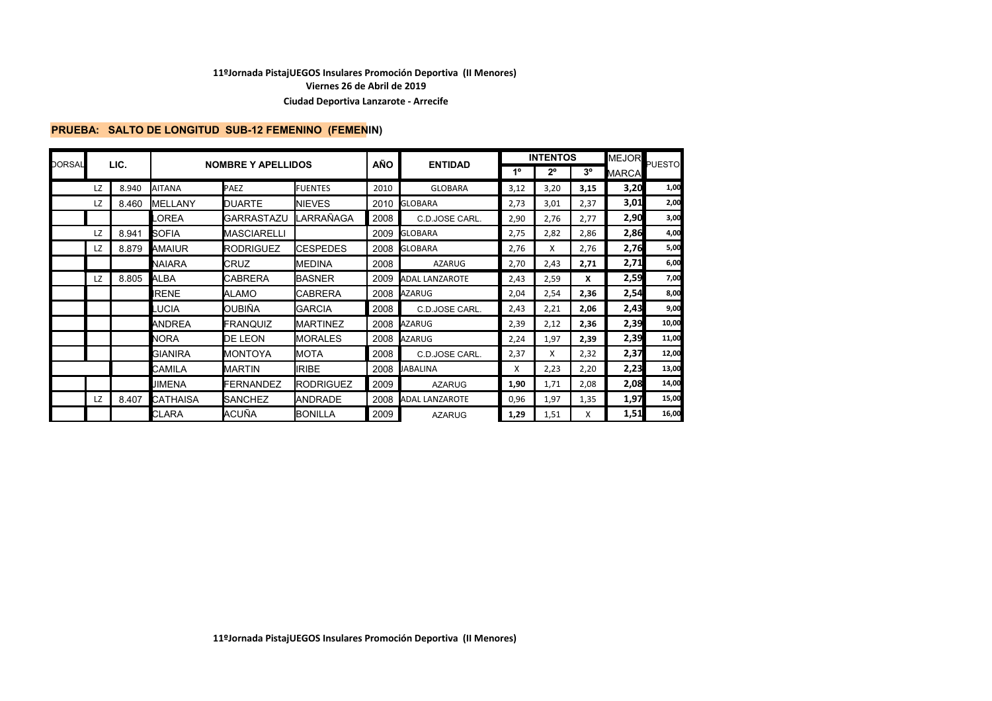**Viernes 26 de Abril de 2019**

#### **Ciudad Deportiva Lanzarote - Arrecife**

### **PRUEBA: SALTO DE LONGITUD SUB-12 FEMENINO (FEMENIN)**

| DORSAL |    | LIC.  |                 | <b>NOMBRE Y APELLIDOS</b> |                  | <b>AÑO</b> | <b>ENTIDAD</b>        |             | <b>INTENTOS</b> |             | MEJOR        | PUESTO |
|--------|----|-------|-----------------|---------------------------|------------------|------------|-----------------------|-------------|-----------------|-------------|--------------|--------|
|        |    |       |                 |                           |                  |            |                       | $1^{\circ}$ | $2^{\circ}$     | $3^{\circ}$ | <b>MARCA</b> |        |
|        | LZ | 8.940 | <b>AITANA</b>   | PAEZ                      | <b>FUENTES</b>   | 2010       | <b>GLOBARA</b>        | 3,12        | 3,20            | 3,15        | 3,20         | 1,00   |
|        | LZ | 8.460 | <b>IMELLANY</b> | <b>DUARTE</b>             | <b>NIEVES</b>    | 2010       | <b>GLOBARA</b>        | 2,73        | 3,01            | 2,37        | 3,01         | 2,00   |
|        |    |       | _OREA           | GARRASTAZU                | LARRAÑAGA        | 2008       | C.D.JOSE CARL.        | 2,90        | 2,76            | 2,77        | 2,90         | 3,00   |
|        | LZ | 8.941 | <b>SOFIA</b>    | MASCIARELLI               |                  | 2009       | <b>GLOBARA</b>        | 2,75        | 2,82            | 2,86        | 2,86         | 4,00   |
|        | LZ | 8.879 | AMAIUR          | <b>RODRIGUEZ</b>          | <b>CESPEDES</b>  | 2008       | <b>GLOBARA</b>        | 2,76        | X               | 2,76        | 2,76         | 5,00   |
|        |    |       | NAIARA          | CRUZ                      | <b>MEDINA</b>    | 2008       | <b>AZARUG</b>         | 2,70        | 2,43            | 2,71        | 2,71         | 6,00   |
|        | LZ | 8.805 | ALBA            | CABRERA                   | BASNER           | 2009       | <b>ADAL LANZAROTE</b> | 2,43        | 2,59            | x           | 2,59         | 7,00   |
|        |    |       | <b>IRENE</b>    | ALAMO                     | <b>CABRERA</b>   | 2008       | <b>AZARUG</b>         | 2,04        | 2,54            | 2,36        | 2,54         | 8,00   |
|        |    |       | <b>LUCIA</b>    | OUBIÑA                    | <b>GARCIA</b>    | 2008       | C.D.JOSE CARL.        | 2,43        | 2,21            | 2,06        | 2,43         | 9,00   |
|        |    |       | <b>ANDREA</b>   | FRANQUIZ                  | <b>MARTINEZ</b>  | 2008       | <b>AZARUG</b>         | 2,39        | 2,12            | 2,36        | 2,39         | 10,00  |
|        |    |       | <b>NORA</b>     | DE LEON                   | <b>MORALES</b>   | 2008       | <b>AZARUG</b>         | 2,24        | 1,97            | 2,39        | 2,39         | 11,00  |
|        |    |       | <b>GIANIRA</b>  | MONTOYA                   | <b>MOTA</b>      | 2008       | C.D.JOSE CARL.        | 2,37        | X               | 2,32        | 2,37         | 12,00  |
|        |    |       | CAMILA          | MARTIN                    | <b>IRIBE</b>     | 2008       | <b>JABALINA</b>       | X           | 2,23            | 2,20        | 2,23         | 13,00  |
|        |    |       | <b>JIMENA</b>   | FERNANDEZ                 | <b>RODRIGUEZ</b> | 2009       | <b>AZARUG</b>         | 1,90        | 1,71            | 2,08        | 2,08         | 14,00  |
|        | LZ | 8.407 | <b>CATHAISA</b> | <b>SANCHEZ</b>            | ANDRADE          | 2008       | <b>ADAL LANZAROTE</b> | 0,96        | 1,97            | 1,35        | 1,97         | 15,00  |
|        |    |       | <b>CLARA</b>    | ACUÑA                     | <b>BONILLA</b>   | 2009       | <b>AZARUG</b>         | 1,29        | 1,51            | x           | 1,51         | 16,00  |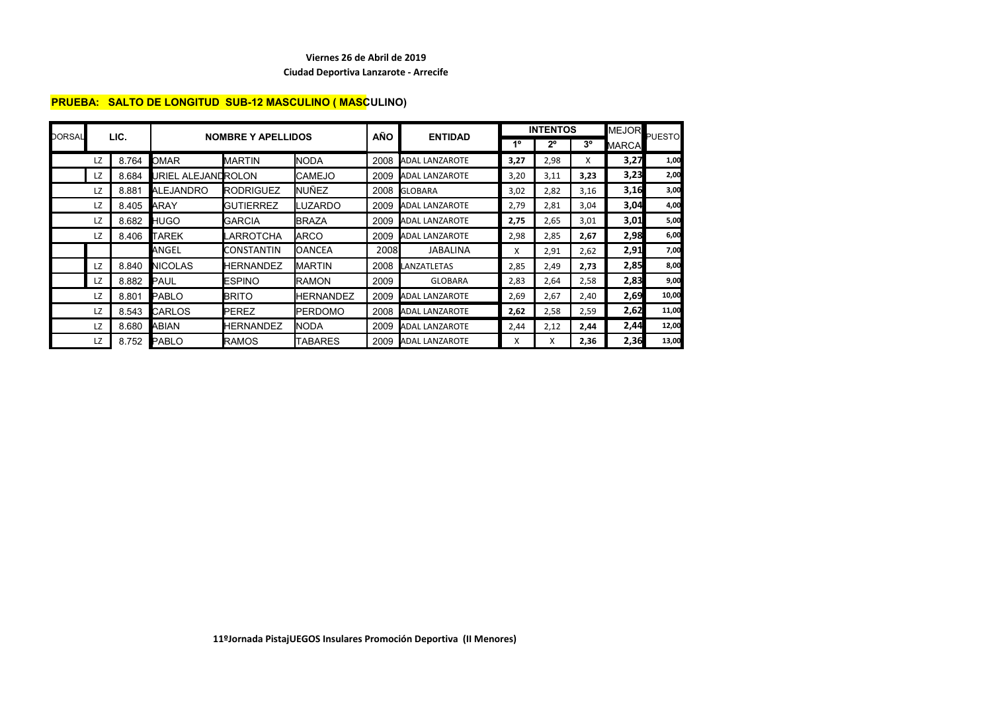#### **Viernes 26 de Abril de 2019**

#### **Ciudad Deportiva Lanzarote - Arrecife**

# **PRUEBA: SALTO DE LONGITUD SUB-12 MASCULINO ( MASCULINO)**

| DORSAL |     | LIC.  |                    | <b>NOMBRE Y APELLIDOS</b> |                  | <b>AÑO</b> | <b>ENTIDAD</b>        |      | <b>INTENTOS</b> |                | MEJOR        | <b>PUESTO</b> |
|--------|-----|-------|--------------------|---------------------------|------------------|------------|-----------------------|------|-----------------|----------------|--------------|---------------|
|        |     |       |                    |                           |                  |            |                       | 1°   | $2^{\circ}$     | 3 <sup>o</sup> | <b>MARCA</b> |               |
|        | LZ  | 8.764 | <b>OMAR</b>        | <b>MARTIN</b>             | NODA             | 2008       | <b>ADAL LANZAROTE</b> | 3,27 | 2,98            | X              | 3,27         | 1,00          |
|        | LZ. | 8.684 | URIEL ALEJANDROLON |                           | <b>CAMEJO</b>    | 2009       | <b>ADAL LANZAROTE</b> | 3,20 | 3,11            | 3,23           | 3,23         | 2,00          |
|        | LZ  | 8.881 | <b>ALEJANDRO</b>   | <b>RODRIGUEZ</b>          | NUÑEZ            | 2008       | <b>GLOBARA</b>        | 3,02 | 2,82            | 3,16           | 3,16         | 3,00          |
|        | LZ  | 8.405 | ARAY               | <b>GUTIERREZ</b>          | LUZARDO          | 2009       | <b>ADAL LANZAROTE</b> | 2,79 | 2,81            | 3,04           | 3,04         | 4,00          |
|        | LZ  | 8.682 | <b>HUGO</b>        | <b>GARCIA</b>             | <b>BRAZA</b>     | 2009       | <b>ADAL LANZAROTE</b> | 2,75 | 2,65            | 3,01           | 3,01         | 5,00          |
|        | LZ  | 8.406 | <b>TAREK</b>       | LARROTCHA                 | <b>IARCO</b>     | 2009       | <b>ADAL LANZAROTE</b> | 2,98 | 2,85            | 2,67           | 2,98         | 6,00          |
|        |     |       | ANGEL              | <b>CONSTANTIN</b>         | <b>OANCEA</b>    | 2008       | JABALINA              | X    | 2,91            | 2,62           | 2,91         | 7,00          |
|        | LZ  | 8.840 | <b>NICOLAS</b>     | <b>HERNANDEZ</b>          | <b>MARTIN</b>    | 2008       | LANZATLETAS           | 2,85 | 2,49            | 2,73           | 2,85         | 8,00          |
|        | LZ  | 8.882 | <b>PAUL</b>        | <b>ESPINO</b>             | <b>RAMON</b>     | 2009       | <b>GLOBARA</b>        | 2,83 | 2,64            | 2,58           | 2,83         | 9,00          |
|        | LZ  | 8.801 | <b>PABLO</b>       | <b>BRITO</b>              | <b>HERNANDEZ</b> | 2009       | <b>ADAL LANZAROTE</b> | 2,69 | 2,67            | 2,40           | 2,69         | 10,00         |
|        | LZ  | 8.543 | <b>CARLOS</b>      | <b>I</b> PEREZ            | <b>PERDOMO</b>   | 2008       | <b>ADAL LANZAROTE</b> | 2,62 | 2,58            | 2,59           | 2,62         | 11,00         |
|        | LZ  | 8.680 | ABIAN              | <b>HERNANDEZ</b>          | <b>NODA</b>      | 2009       | <b>ADAL LANZAROTE</b> | 2,44 | 2,12            | 2,44           | 2,44         | 12,00         |
|        | LZ  | 8.752 | <b>PABLO</b>       | <b>RAMOS</b>              | TABARES          |            | 2009 ADAL LANZAROTE   | x    | X               | 2,36           | 2,36         | 13,00         |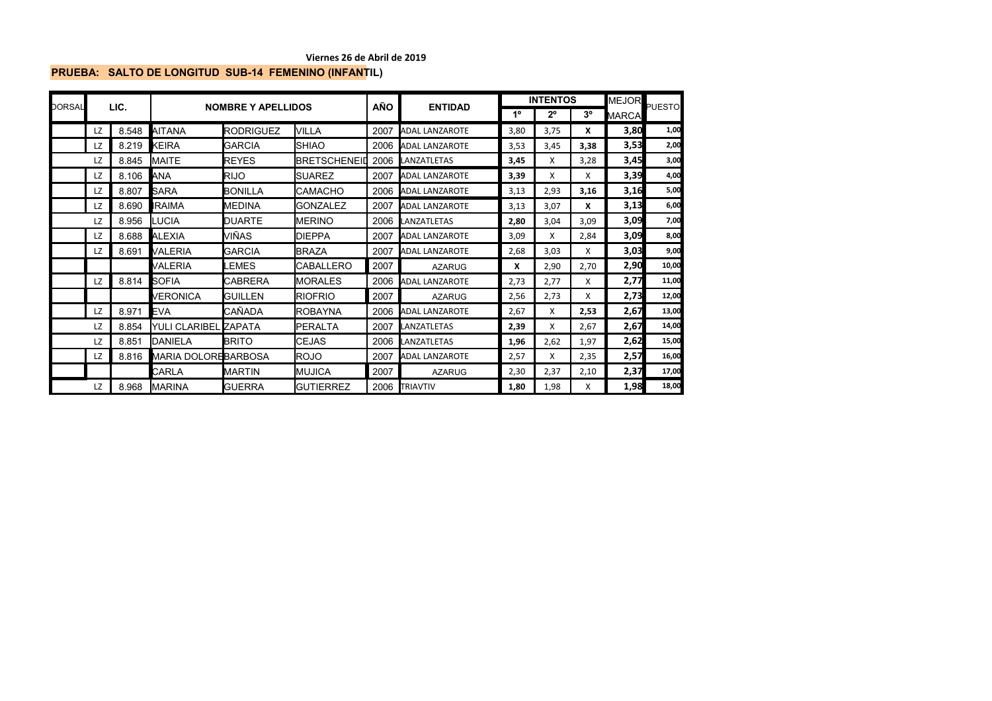#### **Viernes 26 de Abril de 2019**

# **PRUEBA: SALTO DE LONGITUD SUB-14 FEMENINO (INFANTIL)**

| DORSAL |    | LIC.  |                            | <b>NOMBRE Y APELLIDOS</b> |                     | AÑO  | <b>ENTIDAD</b>        |      | <b>INTENTOS</b> |                | MEJOR        | <b>PUESTO</b> |
|--------|----|-------|----------------------------|---------------------------|---------------------|------|-----------------------|------|-----------------|----------------|--------------|---------------|
|        |    |       |                            |                           |                     |      |                       | 1º   | $2^{\circ}$     | 3 <sup>o</sup> | <b>MARCA</b> |               |
|        | LZ | 8.548 | AITANA                     | <b>RODRIGUEZ</b>          | <b>VILLA</b>        | 2007 | <b>ADAL LANZAROTE</b> | 3,80 | 3,75            | X              | 3,80         | 1,00          |
|        | LZ | 8.219 | <b>KEIRA</b>               | <b>GARCIA</b>             | <b>SHIAO</b>        | 2006 | <b>ADAL LANZAROTE</b> | 3,53 | 3,45            | 3,38           | 3,53         | 2,00          |
|        | LZ | 8.845 | <b>MAITE</b>               | <b>REYES</b>              | <b>BRETSCHENEID</b> | 2006 | <b>LANZATLETAS</b>    | 3,45 | x               | 3,28           | 3,45         | 3,00          |
|        | LZ | 8.106 | <b>ANA</b>                 | <b>RIJO</b>               | <b>SUAREZ</b>       | 2007 | <b>ADAL LANZAROTE</b> | 3,39 | x               | X              | 3,39         | 4,00          |
|        | LZ | 8.807 | <b>SARA</b>                | <b>BONILLA</b>            | <b>CAMACHO</b>      | 2006 | <b>ADAL LANZAROTE</b> | 3,13 | 2,93            | 3,16           | 3,16         | 5,00          |
|        | LZ | 8.690 | IRAIMA                     | MEDINA                    | <b>GONZALEZ</b>     | 2007 | <b>ADAL LANZAROTE</b> | 3,13 | 3,07            | X              | 3,13         | 6,00          |
|        | LZ | 8.956 | <b>ILUCIA</b>              | <b>DUARTE</b>             | <b>MERINO</b>       | 2006 | <b>LANZATLETAS</b>    | 2,80 | 3,04            | 3,09           | 3,09         | 7,00          |
|        | LZ | 8.688 | <b>ALEXIA</b>              | VIÑAS                     | <b>DIEPPA</b>       | 2007 | <b>ADAL LANZAROTE</b> | 3,09 | X               | 2,84           | 3,09         | 8,00          |
|        | LZ | 8.691 | VALERIA                    | <b>GARCIA</b>             | <b>BRAZA</b>        | 2007 | <b>ADAL LANZAROTE</b> | 2,68 | 3,03            | x              | 3,03         | 9,00          |
|        |    |       | VALERIA                    | <b>EMES</b>               | <b>CABALLERO</b>    | 2007 | <b>AZARUG</b>         | x    | 2,90            | 2,70           | 2,90         | 10,00         |
|        | LZ | 8.814 | <b>SOFIA</b>               | CABRERA                   | <b>MORALES</b>      | 2006 | <b>ADAL LANZAROTE</b> | 2,73 | 2,77            | X              | 2,77         | 11,00         |
|        |    |       | <b>VERONICA</b>            | GUILLEN                   | <b>RIOFRIO</b>      | 2007 | <b>AZARUG</b>         | 2,56 | 2,73            | x              | 2,73         | 12,00         |
|        | LZ | 8.971 | <b>EVA</b>                 | CAÑADA                    | <b>ROBAYNA</b>      | 2006 | <b>ADAL LANZAROTE</b> | 2,67 | X               | 2,53           | 2,67         | 13,00         |
|        | LZ | 8.854 | <b>YULI CLARIBEL</b>       | <b>ZAPATA</b>             | PERALTA             | 2007 | <b>LANZATLETAS</b>    | 2,39 | X               | 2,67           | 2,67         | 14,00         |
|        | LZ | 8.851 | <b>IDANIELA</b>            | <b>BRITO</b>              | <b>CEJAS</b>        | 2006 | <b>LANZATLETAS</b>    | 1,96 | 2,62            | 1,97           | 2,62         | 15,00         |
|        | LZ | 8.816 | <b>MARIA DOLOREBARBOSA</b> |                           | <b>ROJO</b>         | 2007 | <b>ADAL LANZAROTE</b> | 2,57 | X               | 2,35           | 2,57         | 16,00         |
|        |    |       | CARLA                      | <b>MARTIN</b>             | <b>MUJICA</b>       | 2007 | <b>AZARUG</b>         | 2,30 | 2,37            | 2,10           | 2,37         | 17,00         |
|        | LZ | 8.968 | <b>IMARINA</b>             | <b>GUERRA</b>             | <b>GUTIERREZ</b>    | 2006 | <b>TRIAVTIV</b>       | 1,80 | 1,98            | x              | 1,98         | 18,00         |